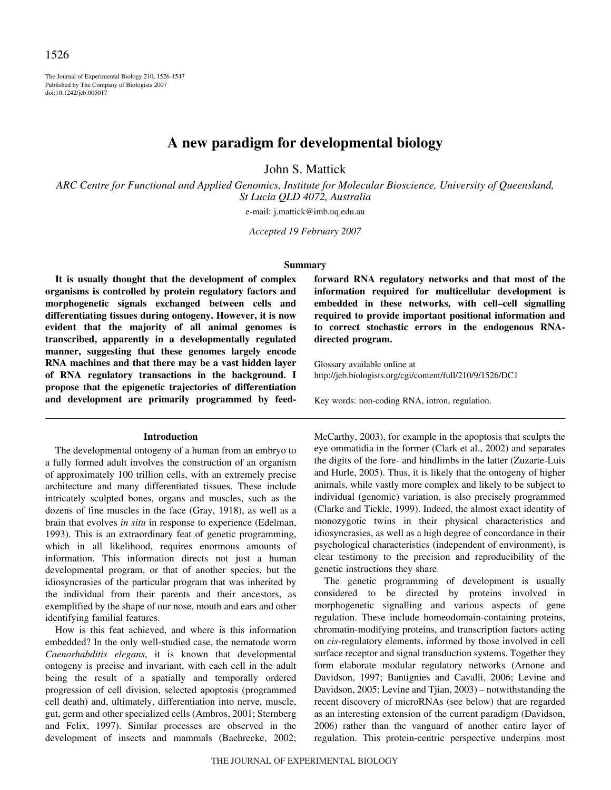The Journal of Experimental Biology 210, 1526-1547 Published by The Company of Biologists 2007 doi:10.1242/jeb.005017

# **A new paradigm for developmental biology**

John S. Mattick

*ARC Centre for Functional and Applied Genomics, Institute for Molecular Bioscience, University of Queensland, St Lucia QLD 4072, Australia*

e-mail: j.mattick@imb.uq.edu.au

*Accepted 19 February 2007*

#### **Summary**

**It is usually thought that the development of complex organisms is controlled by protein regulatory factors and morphogenetic signals exchanged between cells and differentiating tissues during ontogeny. However, it is now evident that the majority of all animal genomes is transcribed, apparently in a developmentally regulated manner, suggesting that these genomes largely encode RNA machines and that there may be a vast hidden layer of RNA regulatory transactions in the background. I propose that the epigenetic trajectories of differentiation and development are primarily programmed by feed-**

#### **Introduction**

The developmental ontogeny of a human from an embryo to a fully formed adult involves the construction of an organism of approximately 100 trillion cells, with an extremely precise architecture and many differentiated tissues. These include intricately sculpted bones, organs and muscles, such as the dozens of fine muscles in the face (Gray, 1918), as well as a brain that evolves *in situ* in response to experience (Edelman, 1993). This is an extraordinary feat of genetic programming, which in all likelihood, requires enormous amounts of information. This information directs not just a human developmental program, or that of another species, but the idiosyncrasies of the particular program that was inherited by the individual from their parents and their ancestors, as exemplified by the shape of our nose, mouth and ears and other identifying familial features.

How is this feat achieved, and where is this information embedded? In the only well-studied case, the nematode worm *Caenorhabditis elegans*, it is known that developmental ontogeny is precise and invariant, with each cell in the adult being the result of a spatially and temporally ordered progression of cell division, selected apoptosis (programmed cell death) and, ultimately, differentiation into nerve, muscle, gut, germ and other specialized cells (Ambros, 2001; Sternberg and Felix, 1997). Similar processes are observed in the development of insects and mammals (Baehrecke, 2002; **forward RNA regulatory networks and that most of the information required for multicellular development is embedded in these networks, with cell–cell signalling required to provide important positional information and to correct stochastic errors in the endogenous RNAdirected program.**

Glossary available online at http://jeb.biologists.org/cgi/content/full/210/9/1526/DC1

Key words: non-coding RNA, intron, regulation.

McCarthy, 2003), for example in the apoptosis that sculpts the eye ommatidia in the former (Clark et al., 2002) and separates the digits of the fore- and hindlimbs in the latter (Zuzarte-Luis and Hurle, 2005). Thus, it is likely that the ontogeny of higher animals, while vastly more complex and likely to be subject to individual (genomic) variation, is also precisely programmed (Clarke and Tickle, 1999). Indeed, the almost exact identity of monozygotic twins in their physical characteristics and idiosyncrasies, as well as a high degree of concordance in their psychological characteristics (independent of environment), is clear testimony to the precision and reproducibility of the genetic instructions they share.

The genetic programming of development is usually considered to be directed by proteins involved in morphogenetic signalling and various aspects of gene regulation. These include homeodomain-containing proteins, chromatin-modifying proteins, and transcription factors acting on *cis*-regulatory elements, informed by those involved in cell surface receptor and signal transduction systems. Together they form elaborate modular regulatory networks (Arnone and Davidson, 1997; Bantignies and Cavalli, 2006; Levine and Davidson, 2005; Levine and Tjian, 2003) – notwithstanding the recent discovery of microRNAs (see below) that are regarded as an interesting extension of the current paradigm (Davidson, 2006) rather than the vanguard of another entire layer of regulation. This protein-centric perspective underpins most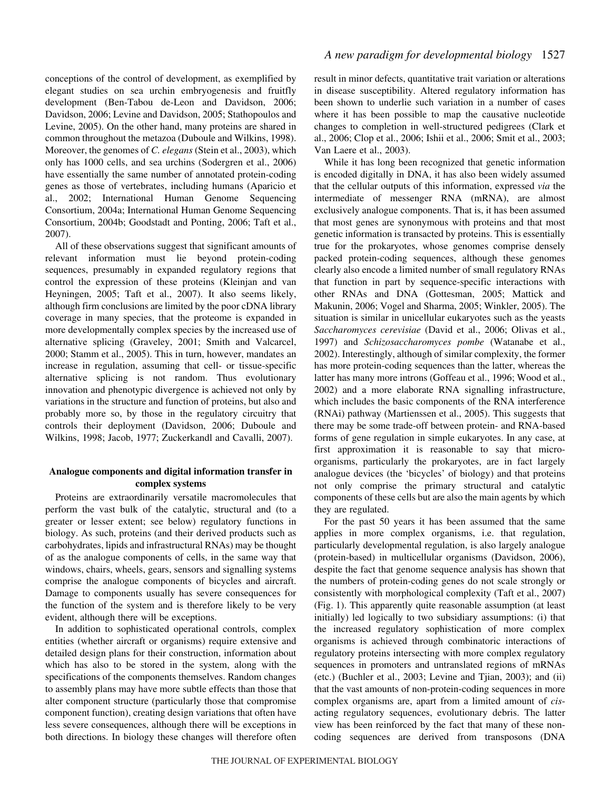conceptions of the control of development, as exemplified by elegant studies on sea urchin embryogenesis and fruitfly development (Ben-Tabou de-Leon and Davidson, 2006; Davidson, 2006; Levine and Davidson, 2005; Stathopoulos and Levine, 2005). On the other hand, many proteins are shared in common throughout the metazoa (Duboule and Wilkins, 1998). Moreover, the genomes of *C. elegans* (Stein et al., 2003), which only has 1000 cells, and sea urchins (Sodergren et al., 2006) have essentially the same number of annotated protein-coding genes as those of vertebrates, including humans (Aparicio et al., 2002; International Human Genome Sequencing Consortium, 2004a; International Human Genome Sequencing Consortium, 2004b; Goodstadt and Ponting, 2006; Taft et al., 2007).

All of these observations suggest that significant amounts of relevant information must lie beyond protein-coding sequences, presumably in expanded regulatory regions that control the expression of these proteins (Kleinjan and van Heyningen, 2005; Taft et al., 2007). It also seems likely, although firm conclusions are limited by the poor cDNA library coverage in many species, that the proteome is expanded in more developmentally complex species by the increased use of alternative splicing (Graveley, 2001; Smith and Valcarcel, 2000; Stamm et al., 2005). This in turn, however, mandates an increase in regulation, assuming that cell- or tissue-specific alternative splicing is not random. Thus evolutionary innovation and phenotypic divergence is achieved not only by variations in the structure and function of proteins, but also and probably more so, by those in the regulatory circuitry that controls their deployment (Davidson, 2006; Duboule and Wilkins, 1998; Jacob, 1977; Zuckerkandl and Cavalli, 2007).

## **Analogue components and digital information transfer in complex systems**

Proteins are extraordinarily versatile macromolecules that perform the vast bulk of the catalytic, structural and (to a greater or lesser extent; see below) regulatory functions in biology. As such, proteins (and their derived products such as carbohydrates, lipids and infrastructural RNAs) may be thought of as the analogue components of cells, in the same way that windows, chairs, wheels, gears, sensors and signalling systems comprise the analogue components of bicycles and aircraft. Damage to components usually has severe consequences for the function of the system and is therefore likely to be very evident, although there will be exceptions.

In addition to sophisticated operational controls, complex entities (whether aircraft or organisms) require extensive and detailed design plans for their construction, information about which has also to be stored in the system, along with the specifications of the components themselves. Random changes to assembly plans may have more subtle effects than those that alter component structure (particularly those that compromise component function), creating design variations that often have less severe consequences, although there will be exceptions in both directions. In biology these changes will therefore often result in minor defects, quantitative trait variation or alterations in disease susceptibility. Altered regulatory information has been shown to underlie such variation in a number of cases where it has been possible to map the causative nucleotide changes to completion in well-structured pedigrees (Clark et al., 2006; Clop et al., 2006; Ishii et al., 2006; Smit et al., 2003; Van Laere et al., 2003).

While it has long been recognized that genetic information is encoded digitally in DNA, it has also been widely assumed that the cellular outputs of this information, expressed *via* the intermediate of messenger RNA (mRNA), are almost exclusively analogue components. That is, it has been assumed that most genes are synonymous with proteins and that most genetic information is transacted by proteins. This is essentially true for the prokaryotes, whose genomes comprise densely packed protein-coding sequences, although these genomes clearly also encode a limited number of small regulatory RNAs that function in part by sequence-specific interactions with other RNAs and DNA (Gottesman, 2005; Mattick and Makunin, 2006; Vogel and Sharma, 2005; Winkler, 2005). The situation is similar in unicellular eukaryotes such as the yeasts *Saccharomyces cerevisiae* (David et al., 2006; Olivas et al., 1997) and *Schizosaccharomyces pombe* (Watanabe et al., 2002). Interestingly, although of similar complexity, the former has more protein-coding sequences than the latter, whereas the latter has many more introns (Goffeau et al., 1996; Wood et al., 2002) and a more elaborate RNA signalling infrastructure, which includes the basic components of the RNA interference (RNAi) pathway (Martienssen et al., 2005). This suggests that there may be some trade-off between protein- and RNA-based forms of gene regulation in simple eukaryotes. In any case, at first approximation it is reasonable to say that microorganisms, particularly the prokaryotes, are in fact largely analogue devices (the 'bicycles' of biology) and that proteins not only comprise the primary structural and catalytic components of these cells but are also the main agents by which they are regulated.

For the past 50 years it has been assumed that the same applies in more complex organisms, i.e. that regulation, particularly developmental regulation, is also largely analogue (protein-based) in multicellular organisms (Davidson, 2006), despite the fact that genome sequence analysis has shown that the numbers of protein-coding genes do not scale strongly or consistently with morphological complexity (Taft et al., 2007) (Fig. 1). This apparently quite reasonable assumption (at least) initially) led logically to two subsidiary assumptions: (i) that the increased regulatory sophistication of more complex organisms is achieved through combinatoric interactions of regulatory proteins intersecting with more complex regulatory sequences in promoters and untranslated regions of mRNAs (etc.) (Buchler et al., 2003; Levine and Tjian, 2003); and (ii) that the vast amounts of non-protein-coding sequences in more complex organisms are, apart from a limited amount of *cis*acting regulatory sequences, evolutionary debris. The latter view has been reinforced by the fact that many of these noncoding sequences are derived from transposons (DNA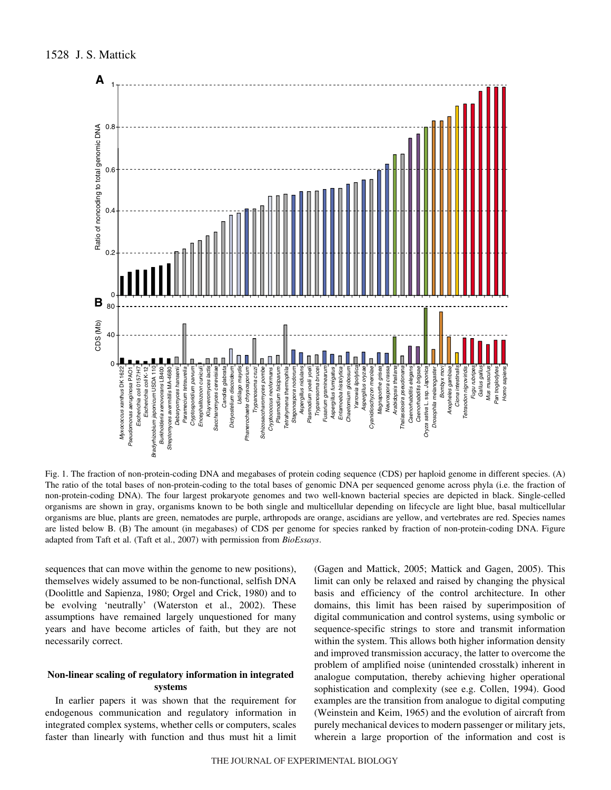

Fig. 1. The fraction of non-protein-coding DNA and megabases of protein coding sequence (CDS) per haploid genome in different species. (A) The ratio of the total bases of non-protein-coding to the total bases of genomic DNA per sequenced genome across phyla (i.e. the fraction of non-protein-coding DNA). The four largest prokaryote genomes and two well-known bacterial species are depicted in black. Single-celled organisms are shown in gray, organisms known to be both single and multicellular depending on lifecycle are light blue, basal multicellular organisms are blue, plants are green, nematodes are purple, arthropods are orange, ascidians are yellow, and vertebrates are red. Species names are listed below B. (B) The amount (in megabases) of CDS per genome for species ranked by fraction of non-protein-coding DNA. Figure adapted from Taft et al. (Taft et al., 2007) with permission from *BioEssays*.

sequences that can move within the genome to new positions), themselves widely assumed to be non-functional, selfish DNA (Doolittle and Sapienza, 1980; Orgel and Crick, 1980) and to be evolving 'neutrally' (Waterston et al., 2002). These assumptions have remained largely unquestioned for many years and have become articles of faith, but they are not necessarily correct.

## **Non-linear scaling of regulatory information in integrated systems**

In earlier papers it was shown that the requirement for endogenous communication and regulatory information in integrated complex systems, whether cells or computers, scales faster than linearly with function and thus must hit a limit (Gagen and Mattick, 2005; Mattick and Gagen, 2005). This limit can only be relaxed and raised by changing the physical basis and efficiency of the control architecture. In other domains, this limit has been raised by superimposition of digital communication and control systems, using symbolic or sequence-specific strings to store and transmit information within the system. This allows both higher information density and improved transmission accuracy, the latter to overcome the problem of amplified noise (unintended crosstalk) inherent in analogue computation, thereby achieving higher operational sophistication and complexity (see e.g. Collen, 1994). Good examples are the transition from analogue to digital computing (Weinstein and Keim, 1965) and the evolution of aircraft from purely mechanical devices to modern passenger or military jets, wherein a large proportion of the information and cost is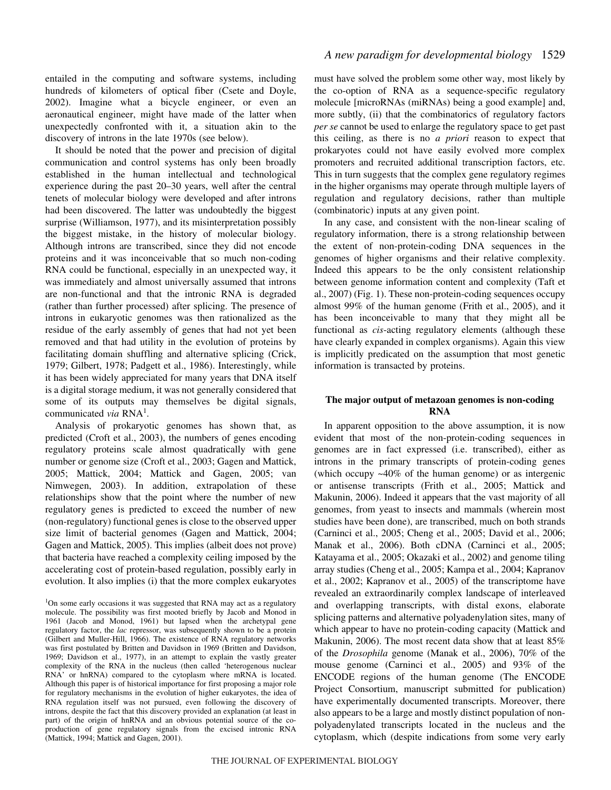entailed in the computing and software systems, including hundreds of kilometers of optical fiber (Csete and Doyle, 2002). Imagine what a bicycle engineer, or even an aeronautical engineer, might have made of the latter when unexpectedly confronted with it, a situation akin to the discovery of introns in the late 1970s (see below).

It should be noted that the power and precision of digital communication and control systems has only been broadly established in the human intellectual and technological experience during the past 20–30 years, well after the central tenets of molecular biology were developed and after introns had been discovered. The latter was undoubtedly the biggest surprise (Williamson, 1977), and its misinterpretation possibly the biggest mistake, in the history of molecular biology. Although introns are transcribed, since they did not encode proteins and it was inconceivable that so much non-coding RNA could be functional, especially in an unexpected way, it was immediately and almost universally assumed that introns are non-functional and that the intronic RNA is degraded (rather than further processed) after splicing. The presence of introns in eukaryotic genomes was then rationalized as the residue of the early assembly of genes that had not yet been removed and that had utility in the evolution of proteins by facilitating domain shuffling and alternative splicing (Crick, 1979; Gilbert, 1978; Padgett et al., 1986). Interestingly, while it has been widely appreciated for many years that DNA itself is a digital storage medium, it was not generally considered that some of its outputs may themselves be digital signals, communicated *via* RNA1 .

Analysis of prokaryotic genomes has shown that, as predicted (Croft et al., 2003), the numbers of genes encoding regulatory proteins scale almost quadratically with gene number or genome size (Croft et al., 2003; Gagen and Mattick, 2005; Mattick, 2004; Mattick and Gagen, 2005; van Nimwegen, 2003). In addition, extrapolation of these relationships show that the point where the number of new regulatory genes is predicted to exceed the number of new (non-regulatory) functional genes is close to the observed upper size limit of bacterial genomes (Gagen and Mattick, 2004; Gagen and Mattick, 2005). This implies (albeit does not prove) that bacteria have reached a complexity ceiling imposed by the accelerating cost of protein-based regulation, possibly early in evolution. It also implies (i) that the more complex eukaryotes

<sup>1</sup>On some early occasions it was suggested that RNA may act as a regulatory molecule. The possibility was first mooted briefly by Jacob and Monod in 1961 (Jacob and Monod, 1961) but lapsed when the archetypal gene regulatory factor, the *lac* repressor, was subsequently shown to be a protein (Gilbert and Muller-Hill, 1966). The existence of RNA regulatory networks was first postulated by Britten and Davidson in 1969 (Britten and Davidson, 1969; Davidson et al., 1977), in an attempt to explain the vastly greater complexity of the RNA in the nucleus (then called 'heterogenous nuclear RNA' or hnRNA) compared to the cytoplasm where mRNA is located. Although this paper is of historical importance for first proposing a major role for regulatory mechanisms in the evolution of higher eukaryotes, the idea of RNA regulation itself was not pursued, even following the discovery of introns, despite the fact that this discovery provided an explanation (at least in part) of the origin of hnRNA and an obvious potential source of the coproduction of gene regulatory signals from the excised intronic RNA (Mattick, 1994; Mattick and Gagen, 2001).

must have solved the problem some other way, most likely by the co-option of RNA as a sequence-specific regulatory molecule [microRNAs (miRNAs) being a good example] and, more subtly, (ii) that the combinatorics of regulatory factors *per se* cannot be used to enlarge the regulatory space to get past this ceiling, as there is no *a priori* reason to expect that prokaryotes could not have easily evolved more complex promoters and recruited additional transcription factors, etc. This in turn suggests that the complex gene regulatory regimes in the higher organisms may operate through multiple layers of regulation and regulatory decisions, rather than multiple (combinatoric) inputs at any given point.

In any case, and consistent with the non-linear scaling of regulatory information, there is a strong relationship between the extent of non-protein-coding DNA sequences in the genomes of higher organisms and their relative complexity. Indeed this appears to be the only consistent relationship between genome information content and complexity (Taft et al., 2007) (Fig. 1). These non-protein-coding sequences occupy almost 99% of the human genome (Frith et al., 2005), and it has been inconceivable to many that they might all be functional as *cis*-acting regulatory elements (although these have clearly expanded in complex organisms). Again this view is implicitly predicated on the assumption that most genetic information is transacted by proteins.

## **The major output of metazoan genomes is non-coding RNA**

In apparent opposition to the above assumption, it is now evident that most of the non-protein-coding sequences in genomes are in fact expressed (i.e. transcribed), either as introns in the primary transcripts of protein-coding genes (which occupy ~40% of the human genome) or as intergenic or antisense transcripts (Frith et al., 2005; Mattick and Makunin, 2006). Indeed it appears that the vast majority of all genomes, from yeast to insects and mammals (wherein most studies have been done), are transcribed, much on both strands (Carninci et al., 2005; Cheng et al., 2005; David et al., 2006; Manak et al., 2006). Both cDNA (Carninci et al., 2005; Katayama et al., 2005; Okazaki et al., 2002) and genome tiling array studies (Cheng et al., 2005; Kampa et al., 2004; Kapranov et al., 2002; Kapranov et al., 2005) of the transcriptome have revealed an extraordinarily complex landscape of interleaved and overlapping transcripts, with distal exons, elaborate splicing patterns and alternative polyadenylation sites, many of which appear to have no protein-coding capacity (Mattick and Makunin, 2006). The most recent data show that at least 85% of the *Drosophila* genome (Manak et al., 2006), 70% of the mouse genome (Carninci et al., 2005) and 93% of the ENCODE regions of the human genome (The ENCODE Project Consortium, manuscript submitted for publication) have experimentally documented transcripts. Moreover, there also appears to be a large and mostly distinct population of nonpolyadenylated transcripts located in the nucleus and the cytoplasm, which (despite indications from some very early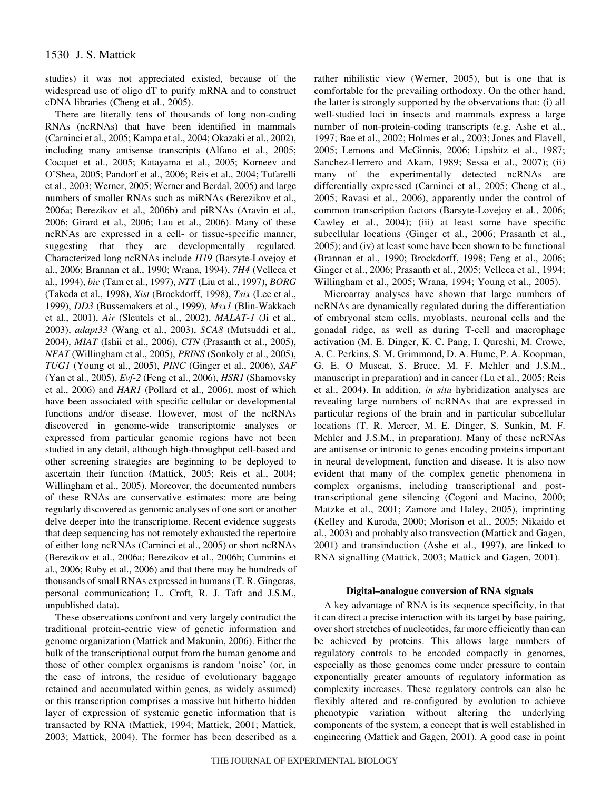studies) it was not appreciated existed, because of the widespread use of oligo dT to purify mRNA and to construct cDNA libraries (Cheng et al., 2005).

There are literally tens of thousands of long non-coding RNAs (ncRNAs) that have been identified in mammals (Carninci et al., 2005; Kampa et al., 2004; Okazaki et al., 2002), including many antisense transcripts (Alfano et al., 2005; Cocquet et al., 2005; Katayama et al., 2005; Korneev and O'Shea, 2005; Pandorf et al., 2006; Reis et al., 2004; Tufarelli et al., 2003; Werner, 2005; Werner and Berdal, 2005) and large numbers of smaller RNAs such as miRNAs (Berezikov et al., 2006a; Berezikov et al., 2006b) and piRNAs (Aravin et al., 2006; Girard et al., 2006; Lau et al., 2006). Many of these ncRNAs are expressed in a cell- or tissue-specific manner, suggesting that they are developmentally regulated. Characterized long ncRNAs include *H19* (Barsyte-Lovejoy et al., 2006; Brannan et al., 1990; Wrana, 1994), *7H4* (Velleca et al., 1994), *bic* (Tam et al., 1997), *NTT* (Liu et al., 1997), *BORG* (Takeda et al., 1998), *Xist* (Brockdorff, 1998), *Tsix* (Lee et al., 1999), *DD3* (Bussemakers et al., 1999), *Msx1* (Blin-Wakkach et al., 2001), *Air* (Sleutels et al., 2002), *MALAT-1* (Ji et al., 2003), *adapt33* (Wang et al., 2003), *SCA8* (Mutsuddi et al., 2004), *MIAT* (Ishii et al., 2006), *CTN* (Prasanth et al., 2005), *NFAT* (Willingham et al., 2005), *PRINS* (Sonkoly et al., 2005), *TUG1* (Young et al., 2005), *PINC* (Ginger et al., 2006), *SAF* (Yan et al., 2005), *Evf-2* (Feng et al., 2006), *HSR1* (Shamovsky et al., 2006) and *HAR1* (Pollard et al., 2006), most of which have been associated with specific cellular or developmental functions and/or disease. However, most of the ncRNAs discovered in genome-wide transcriptomic analyses or expressed from particular genomic regions have not been studied in any detail, although high-throughput cell-based and other screening strategies are beginning to be deployed to ascertain their function (Mattick, 2005; Reis et al., 2004; Willingham et al., 2005). Moreover, the documented numbers of these RNAs are conservative estimates: more are being regularly discovered as genomic analyses of one sort or another delve deeper into the transcriptome. Recent evidence suggests that deep sequencing has not remotely exhausted the repertoire of either long ncRNAs (Carninci et al., 2005) or short ncRNAs (Berezikov et al., 2006a; Berezikov et al., 2006b; Cummins et al., 2006; Ruby et al., 2006) and that there may be hundreds of thousands of small RNAs expressed in humans (T. R. Gingeras, personal communication; L. Croft, R. J. Taft and J.S.M., unpublished data).

These observations confront and very largely contradict the traditional protein-centric view of genetic information and genome organization (Mattick and Makunin, 2006). Either the bulk of the transcriptional output from the human genome and those of other complex organisms is random 'noise' (or, in the case of introns, the residue of evolutionary baggage retained and accumulated within genes, as widely assumed) or this transcription comprises a massive but hitherto hidden layer of expression of systemic genetic information that is transacted by RNA (Mattick, 1994; Mattick, 2001; Mattick, 2003; Mattick, 2004). The former has been described as a rather nihilistic view (Werner, 2005), but is one that is comfortable for the prevailing orthodoxy. On the other hand, the latter is strongly supported by the observations that: (i) all well-studied loci in insects and mammals express a large number of non-protein-coding transcripts (e.g. Ashe et al., 1997; Bae et al., 2002; Holmes et al., 2003; Jones and Flavell, 2005; Lemons and McGinnis, 2006; Lipshitz et al., 1987; Sanchez-Herrero and Akam, 1989; Sessa et al., 2007); (ii) many of the experimentally detected ncRNAs are differentially expressed (Carninci et al., 2005; Cheng et al., 2005; Ravasi et al., 2006), apparently under the control of common transcription factors (Barsyte-Lovejoy et al., 2006; Cawley et al., 2004); (iii) at least some have specific subcellular locations (Ginger et al., 2006; Prasanth et al., 2005); and (iv) at least some have been shown to be functional (Brannan et al., 1990; Brockdorff, 1998; Feng et al., 2006; Ginger et al., 2006; Prasanth et al., 2005; Velleca et al., 1994; Willingham et al., 2005; Wrana, 1994; Young et al., 2005).

Microarray analyses have shown that large numbers of ncRNAs are dynamically regulated during the differentiation of embryonal stem cells, myoblasts, neuronal cells and the gonadal ridge, as well as during T-cell and macrophage activation (M. E. Dinger, K. C. Pang, I. Qureshi, M. Crowe, A. C. Perkins, S. M. Grimmond, D. A. Hume, P. A. Koopman, G. E. O Muscat, S. Bruce, M. F. Mehler and J.S.M., manuscript in preparation) and in cancer (Lu et al., 2005; Reis et al., 2004). In addition, *in situ* hybridization analyses are revealing large numbers of ncRNAs that are expressed in particular regions of the brain and in particular subcellular locations (T. R. Mercer, M. E. Dinger, S. Sunkin, M. F. Mehler and J.S.M., in preparation). Many of these ncRNAs are antisense or intronic to genes encoding proteins important in neural development, function and disease. It is also now evident that many of the complex genetic phenomena in complex organisms, including transcriptional and posttranscriptional gene silencing (Cogoni and Macino, 2000; Matzke et al., 2001; Zamore and Haley, 2005), imprinting (Kelley and Kuroda, 2000; Morison et al., 2005; Nikaido et al., 2003) and probably also transvection (Mattick and Gagen, 2001) and transinduction (Ashe et al., 1997), are linked to RNA signalling (Mattick, 2003; Mattick and Gagen, 2001).

#### **Digital–analogue conversion of RNA signals**

A key advantage of RNA is its sequence specificity, in that it can direct a precise interaction with its target by base pairing, over short stretches of nucleotides, far more efficiently than can be achieved by proteins. This allows large numbers of regulatory controls to be encoded compactly in genomes, especially as those genomes come under pressure to contain exponentially greater amounts of regulatory information as complexity increases. These regulatory controls can also be flexibly altered and re-configured by evolution to achieve phenotypic variation without altering the underlying components of the system, a concept that is well established in engineering (Mattick and Gagen, 2001). A good case in point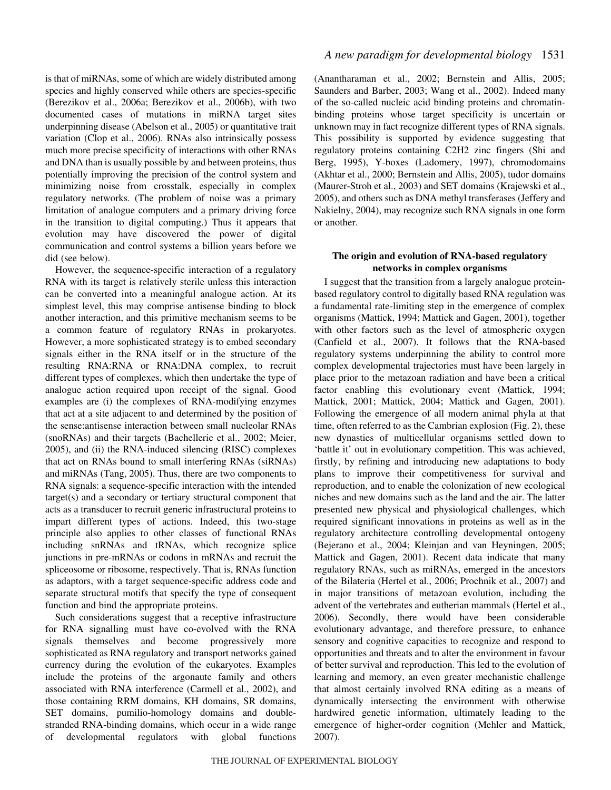is that of miRNAs, some of which are widely distributed among species and highly conserved while others are species-specific (Berezikov et al., 2006a; Berezikov et al., 2006b), with two documented cases of mutations in miRNA target sites underpinning disease (Abelson et al., 2005) or quantitative trait variation (Clop et al., 2006). RNAs also intrinsically possess much more precise specificity of interactions with other RNAs and DNA than is usually possible by and between proteins, thus potentially improving the precision of the control system and minimizing noise from crosstalk, especially in complex regulatory networks. (The problem of noise was a primary limitation of analogue computers and a primary driving force in the transition to digital computing.) Thus it appears that evolution may have discovered the power of digital communication and control systems a billion years before we did (see below).

However, the sequence-specific interaction of a regulatory RNA with its target is relatively sterile unless this interaction can be converted into a meaningful analogue action. At its simplest level, this may comprise antisense binding to block another interaction, and this primitive mechanism seems to be a common feature of regulatory RNAs in prokaryotes. However, a more sophisticated strategy is to embed secondary signals either in the RNA itself or in the structure of the resulting RNA:RNA or RNA:DNA complex, to recruit different types of complexes, which then undertake the type of analogue action required upon receipt of the signal. Good examples are (i) the complexes of RNA-modifying enzymes that act at a site adjacent to and determined by the position of the sense:antisense interaction between small nucleolar RNAs (snoRNAs) and their targets (Bachellerie et al., 2002; Meier, 2005), and (ii) the RNA-induced silencing (RISC) complexes that act on RNAs bound to small interfering RNAs (siRNAs) and miRNAs (Tang, 2005). Thus, there are two components to RNA signals: a sequence-specific interaction with the intended target(s) and a secondary or tertiary structural component that acts as a transducer to recruit generic infrastructural proteins to impart different types of actions. Indeed, this two-stage principle also applies to other classes of functional RNAs including snRNAs and tRNAs, which recognize splice junctions in pre-mRNAs or codons in mRNAs and recruit the spliceosome or ribosome, respectively. That is, RNAs function as adaptors, with a target sequence-specific address code and separate structural motifs that specify the type of consequent function and bind the appropriate proteins.

Such considerations suggest that a receptive infrastructure for RNA signalling must have co-evolved with the RNA signals themselves and become progressively more sophisticated as RNA regulatory and transport networks gained currency during the evolution of the eukaryotes. Examples include the proteins of the argonaute family and others associated with RNA interference (Carmell et al., 2002), and those containing RRM domains, KH domains, SR domains, SET domains, pumilio-homology domains and doublestranded RNA-binding domains, which occur in a wide range of developmental regulators with global functions

## *A new paradigm for developmental biology* 1531

(Anantharaman et al., 2002; Bernstein and Allis, 2005; Saunders and Barber, 2003; Wang et al., 2002). Indeed many of the so-called nucleic acid binding proteins and chromatinbinding proteins whose target specificity is uncertain or unknown may in fact recognize different types of RNA signals. This possibility is supported by evidence suggesting that regulatory proteins containing C2H2 zinc fingers (Shi and Berg, 1995), Y-boxes (Ladomery, 1997), chromodomains (Akhtar et al., 2000; Bernstein and Allis, 2005), tudor domains (Maurer-Stroh et al., 2003) and SET domains (Krajewski et al., 2005), and others such as DNA methyl transferases (Jeffery and Nakielny, 2004), may recognize such RNA signals in one form or another.

## **The origin and evolution of RNA-based regulatory networks in complex organisms**

I suggest that the transition from a largely analogue proteinbased regulatory control to digitally based RNA regulation was a fundamental rate-limiting step in the emergence of complex organisms (Mattick, 1994; Mattick and Gagen, 2001), together with other factors such as the level of atmospheric oxygen (Canfield et al., 2007). It follows that the RNA-based regulatory systems underpinning the ability to control more complex developmental trajectories must have been largely in place prior to the metazoan radiation and have been a critical factor enabling this evolutionary event (Mattick, 1994; Mattick, 2001; Mattick, 2004; Mattick and Gagen, 2001). Following the emergence of all modern animal phyla at that time, often referred to as the Cambrian explosion (Fig. 2), these new dynasties of multicellular organisms settled down to 'battle it' out in evolutionary competition. This was achieved, firstly, by refining and introducing new adaptations to body plans to improve their competitiveness for survival and reproduction, and to enable the colonization of new ecological niches and new domains such as the land and the air. The latter presented new physical and physiological challenges, which required significant innovations in proteins as well as in the regulatory architecture controlling developmental ontogeny (Bejerano et al., 2004; Kleinjan and van Heyningen, 2005; Mattick and Gagen, 2001). Recent data indicate that many regulatory RNAs, such as miRNAs, emerged in the ancestors of the Bilateria (Hertel et al., 2006; Prochnik et al., 2007) and in major transitions of metazoan evolution, including the advent of the vertebrates and eutherian mammals (Hertel et al., 2006). Secondly, there would have been considerable evolutionary advantage, and therefore pressure, to enhance sensory and cognitive capacities to recognize and respond to opportunities and threats and to alter the environment in favour of better survival and reproduction. This led to the evolution of learning and memory, an even greater mechanistic challenge that almost certainly involved RNA editing as a means of dynamically intersecting the environment with otherwise hardwired genetic information, ultimately leading to the emergence of higher-order cognition (Mehler and Mattick, 2007).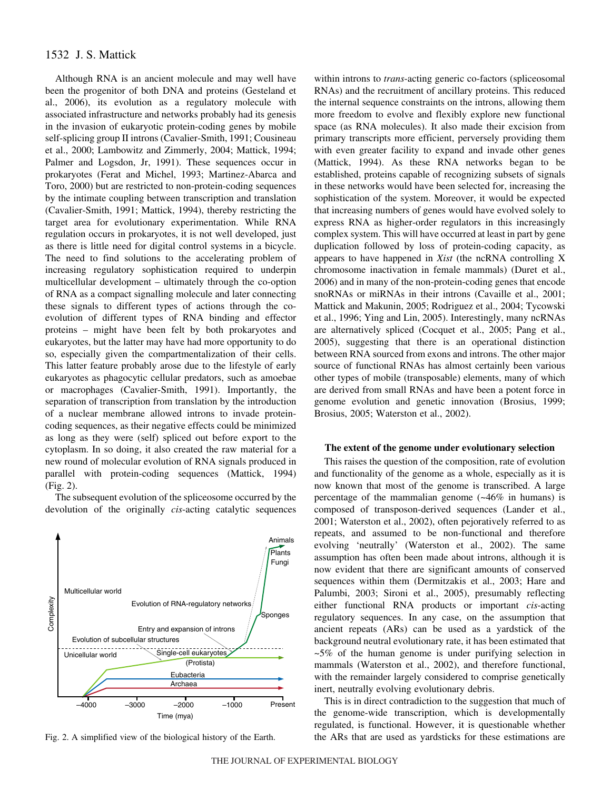Although RNA is an ancient molecule and may well have been the progenitor of both DNA and proteins (Gesteland et al., 2006), its evolution as a regulatory molecule with associated infrastructure and networks probably had its genesis in the invasion of eukaryotic protein-coding genes by mobile self-splicing group II introns (Cavalier-Smith, 1991; Cousineau et al., 2000; Lambowitz and Zimmerly, 2004; Mattick, 1994; Palmer and Logsdon, Jr, 1991). These sequences occur in prokaryotes (Ferat and Michel, 1993; Martinez-Abarca and Toro, 2000) but are restricted to non-protein-coding sequences by the intimate coupling between transcription and translation (Cavalier-Smith, 1991; Mattick, 1994), thereby restricting the target area for evolutionary experimentation. While RNA regulation occurs in prokaryotes, it is not well developed, just as there is little need for digital control systems in a bicycle. The need to find solutions to the accelerating problem of increasing regulatory sophistication required to underpin multicellular development – ultimately through the co-option of RNA as a compact signalling molecule and later connecting these signals to different types of actions through the coevolution of different types of RNA binding and effector proteins – might have been felt by both prokaryotes and eukaryotes, but the latter may have had more opportunity to do so, especially given the compartmentalization of their cells. This latter feature probably arose due to the lifestyle of early eukaryotes as phagocytic cellular predators, such as amoebae or macrophages (Cavalier-Smith, 1991). Importantly, the separation of transcription from translation by the introduction of a nuclear membrane allowed introns to invade proteincoding sequences, as their negative effects could be minimized as long as they were (self) spliced out before export to the cytoplasm. In so doing, it also created the raw material for a new round of molecular evolution of RNA signals produced in parallel with protein-coding sequences (Mattick, 1994)  $(Fig. 2)$ .

The subsequent evolution of the spliceosome occurred by the devolution of the originally *cis*-acting catalytic sequences



within introns to *trans*-acting generic co-factors (spliceosomal RNAs) and the recruitment of ancillary proteins. This reduced the internal sequence constraints on the introns, allowing them more freedom to evolve and flexibly explore new functional space (as RNA molecules). It also made their excision from primary transcripts more efficient, perversely providing them with even greater facility to expand and invade other genes (Mattick, 1994). As these RNA networks began to be established, proteins capable of recognizing subsets of signals in these networks would have been selected for, increasing the sophistication of the system. Moreover, it would be expected that increasing numbers of genes would have evolved solely to express RNA as higher-order regulators in this increasingly complex system. This will have occurred at least in part by gene duplication followed by loss of protein-coding capacity, as appears to have happened in *Xist* (the ncRNA controlling X chromosome inactivation in female mammals) (Duret et al., 2006) and in many of the non-protein-coding genes that encode snoRNAs or miRNAs in their introns (Cavaille et al., 2001; Mattick and Makunin, 2005; Rodriguez et al., 2004; Tycowski et al., 1996; Ying and Lin, 2005). Interestingly, many ncRNAs are alternatively spliced (Cocquet et al., 2005; Pang et al., 2005), suggesting that there is an operational distinction between RNA sourced from exons and introns. The other major source of functional RNAs has almost certainly been various other types of mobile (transposable) elements, many of which are derived from small RNAs and have been a potent force in genome evolution and genetic innovation (Brosius, 1999; Brosius, 2005; Waterston et al., 2002).

#### **The extent of the genome under evolutionary selection**

This raises the question of the composition, rate of evolution and functionality of the genome as a whole, especially as it is now known that most of the genome is transcribed. A large percentage of the mammalian genome  $(\sim 46\%$  in humans) is composed of transposon-derived sequences (Lander et al., 2001; Waterston et al., 2002), often pejoratively referred to as repeats, and assumed to be non-functional and therefore evolving 'neutrally' (Waterston et al., 2002). The same assumption has often been made about introns, although it is now evident that there are significant amounts of conserved sequences within them (Dermitzakis et al., 2003; Hare and Palumbi, 2003; Sironi et al., 2005), presumably reflecting either functional RNA products or important *cis*-acting regulatory sequences. In any case, on the assumption that ancient repeats (ARs) can be used as a yardstick of the background neutral evolutionary rate, it has been estimated that  $~5\%$  of the human genome is under purifying selection in mammals (Waterston et al., 2002), and therefore functional, with the remainder largely considered to comprise genetically inert, neutrally evolving evolutionary debris.

This is in direct contradiction to the suggestion that much of the genome-wide transcription, which is developmentally regulated, is functional. However, it is questionable whether Fig. 2. A simplified view of the biological history of the Earth. the ARs that are used as yardsticks for these estimations are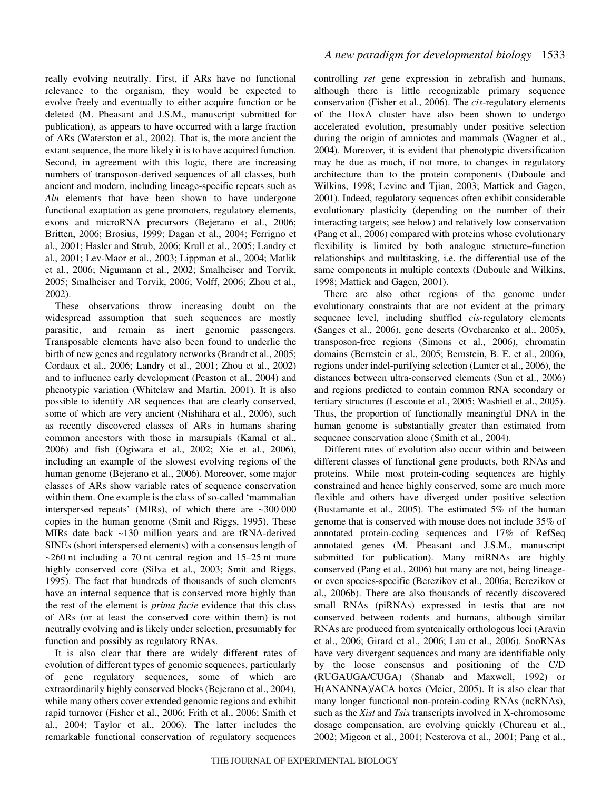really evolving neutrally. First, if ARs have no functional relevance to the organism, they would be expected to evolve freely and eventually to either acquire function or be deleted (M. Pheasant and J.S.M., manuscript submitted for publication), as appears to have occurred with a large fraction of ARs (Waterston et al., 2002). That is, the more ancient the extant sequence, the more likely it is to have acquired function. Second, in agreement with this logic, there are increasing numbers of transposon-derived sequences of all classes, both ancient and modern, including lineage-specific repeats such as *Alu* elements that have been shown to have undergone functional exaptation as gene promoters, regulatory elements, exons and microRNA precursors (Bejerano et al., 2006; Britten, 2006; Brosius, 1999; Dagan et al., 2004; Ferrigno et al., 2001; Hasler and Strub, 2006; Krull et al., 2005; Landry et al., 2001; Lev-Maor et al., 2003; Lippman et al., 2004; Matlik et al., 2006; Nigumann et al., 2002; Smalheiser and Torvik, 2005; Smalheiser and Torvik, 2006; Volff, 2006; Zhou et al., 2002).

These observations throw increasing doubt on the widespread assumption that such sequences are mostly parasitic, and remain as inert genomic passengers. Transposable elements have also been found to underlie the birth of new genes and regulatory networks (Brandt et al., 2005; Cordaux et al., 2006; Landry et al., 2001; Zhou et al., 2002) and to influence early development (Peaston et al., 2004) and phenotypic variation (Whitelaw and Martin, 2001). It is also possible to identify AR sequences that are clearly conserved, some of which are very ancient (Nishihara et al., 2006), such as recently discovered classes of ARs in humans sharing common ancestors with those in marsupials (Kamal et al., 2006) and fish (Ogiwara et al., 2002; Xie et al., 2006), including an example of the slowest evolving regions of the human genome (Bejerano et al., 2006). Moreover, some major classes of ARs show variable rates of sequence conservation within them. One example is the class of so-called 'mammalian interspersed repeats' (MIRs), of which there are  $\sim$  300 000 copies in the human genome (Smit and Riggs, 1995). These MIRs date back ~130 million years and are tRNA-derived SINEs (short interspersed elements) with a consensus length of  $\sim$ 260 nt including a 70 nt central region and 15–25 nt more highly conserved core (Silva et al., 2003; Smit and Riggs, 1995). The fact that hundreds of thousands of such elements have an internal sequence that is conserved more highly than the rest of the element is *prima facie* evidence that this class of ARs (or at least the conserved core within them) is not neutrally evolving and is likely under selection, presumably for function and possibly as regulatory RNAs.

It is also clear that there are widely different rates of evolution of different types of genomic sequences, particularly of gene regulatory sequences, some of which are extraordinarily highly conserved blocks (Bejerano et al., 2004), while many others cover extended genomic regions and exhibit rapid turnover (Fisher et al., 2006; Frith et al., 2006; Smith et al., 2004; Taylor et al., 2006). The latter includes the remarkable functional conservation of regulatory sequences

controlling *ret* gene expression in zebrafish and humans, although there is little recognizable primary sequence conservation (Fisher et al., 2006). The *cis*-regulatory elements of the HoxA cluster have also been shown to undergo accelerated evolution, presumably under positive selection during the origin of amniotes and mammals (Wagner et al., 2004). Moreover, it is evident that phenotypic diversification may be due as much, if not more, to changes in regulatory architecture than to the protein components (Duboule and Wilkins, 1998; Levine and Tjian, 2003; Mattick and Gagen, 2001). Indeed, regulatory sequences often exhibit considerable evolutionary plasticity (depending on the number of their interacting targets; see below) and relatively low conservation (Pang et al., 2006) compared with proteins whose evolutionary flexibility is limited by both analogue structure–function relationships and multitasking, i.e. the differential use of the same components in multiple contexts (Duboule and Wilkins, 1998; Mattick and Gagen, 2001).

There are also other regions of the genome under evolutionary constraints that are not evident at the primary sequence level, including shuffled *cis*-regulatory elements (Sanges et al., 2006), gene deserts (Ovcharenko et al., 2005), transposon-free regions (Simons et al., 2006), chromatin domains (Bernstein et al., 2005; Bernstein, B. E. et al., 2006), regions under indel-purifying selection (Lunter et al., 2006), the distances between ultra-conserved elements (Sun et al., 2006) and regions predicted to contain common RNA secondary or tertiary structures (Lescoute et al., 2005; Washietl et al., 2005). Thus, the proportion of functionally meaningful DNA in the human genome is substantially greater than estimated from sequence conservation alone (Smith et al., 2004).

Different rates of evolution also occur within and between different classes of functional gene products, both RNAs and proteins. While most protein-coding sequences are highly constrained and hence highly conserved, some are much more flexible and others have diverged under positive selection (Bustamante et al., 2005). The estimated 5% of the human genome that is conserved with mouse does not include 35% of annotated protein-coding sequences and 17% of RefSeq annotated genes (M. Pheasant and J.S.M., manuscript submitted for publication). Many miRNAs are highly conserved (Pang et al., 2006) but many are not, being lineageor even species-specific (Berezikov et al., 2006a; Berezikov et al., 2006b). There are also thousands of recently discovered small RNAs (piRNAs) expressed in testis that are not conserved between rodents and humans, although similar RNAs are produced from syntenically orthologous loci (Aravin et al., 2006; Girard et al., 2006; Lau et al., 2006). SnoRNAs have very divergent sequences and many are identifiable only by the loose consensus and positioning of the C/D (RUGAUGA/CUGA) (Shanab and Maxwell, 1992) or H(ANANNA)/ACA boxes (Meier, 2005). It is also clear that many longer functional non-protein-coding RNAs (ncRNAs), such as the *Xist* and *Tsix* transcripts involved in X-chromosome dosage compensation, are evolving quickly (Chureau et al., 2002; Migeon et al., 2001; Nesterova et al., 2001; Pang et al.,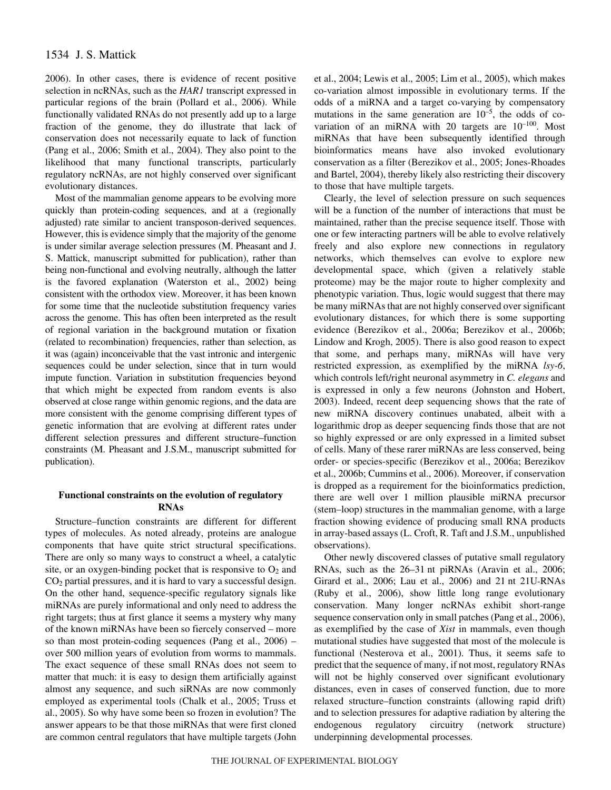2006). In other cases, there is evidence of recent positive selection in ncRNAs, such as the *HAR1* transcript expressed in particular regions of the brain (Pollard et al., 2006). While functionally validated RNAs do not presently add up to a large fraction of the genome, they do illustrate that lack of conservation does not necessarily equate to lack of function (Pang et al., 2006; Smith et al., 2004). They also point to the likelihood that many functional transcripts, particularly regulatory ncRNAs, are not highly conserved over significant evolutionary distances.

Most of the mammalian genome appears to be evolving more quickly than protein-coding sequences, and at a (regionally adjusted) rate similar to ancient transposon-derived sequences. However, this is evidence simply that the majority of the genome is under similar average selection pressures (M. Pheasant and J. S. Mattick, manuscript submitted for publication), rather than being non-functional and evolving neutrally, although the latter is the favored explanation (Waterston et al., 2002) being consistent with the orthodox view. Moreover, it has been known for some time that the nucleotide substitution frequency varies across the genome. This has often been interpreted as the result of regional variation in the background mutation or fixation (related to recombination) frequencies, rather than selection, as it was (again) inconceivable that the vast intronic and intergenic sequences could be under selection, since that in turn would impute function. Variation in substitution frequencies beyond that which might be expected from random events is also observed at close range within genomic regions, and the data are more consistent with the genome comprising different types of genetic information that are evolving at different rates under different selection pressures and different structure–function constraints (M. Pheasant and J.S.M., manuscript submitted for publication).

## **Functional constraints on the evolution of regulatory RNAs**

Structure–function constraints are different for different types of molecules. As noted already, proteins are analogue components that have quite strict structural specifications. There are only so many ways to construct a wheel, a catalytic site, or an oxygen-binding pocket that is responsive to  $O_2$  and  $CO<sub>2</sub>$  partial pressures, and it is hard to vary a successful design. On the other hand, sequence-specific regulatory signals like miRNAs are purely informational and only need to address the right targets; thus at first glance it seems a mystery why many of the known miRNAs have been so fiercely conserved – more so than most protein-coding sequences (Pang et al., 2006) – over 500 million years of evolution from worms to mammals. The exact sequence of these small RNAs does not seem to matter that much: it is easy to design them artificially against almost any sequence, and such siRNAs are now commonly employed as experimental tools (Chalk et al., 2005; Truss et al., 2005). So why have some been so frozen in evolution? The answer appears to be that those miRNAs that were first cloned are common central regulators that have multiple targets (John et al., 2004; Lewis et al., 2005; Lim et al., 2005), which makes co-variation almost impossible in evolutionary terms. If the odds of a miRNA and a target co-varying by compensatory mutations in the same generation are  $10^{-5}$ , the odds of covariation of an miRNA with 20 targets are  $10^{-100}$ . Most miRNAs that have been subsequently identified through bioinformatics means have also invoked evolutionary conservation as a filter (Berezikov et al., 2005; Jones-Rhoades and Bartel, 2004), thereby likely also restricting their discovery to those that have multiple targets.

Clearly, the level of selection pressure on such sequences will be a function of the number of interactions that must be maintained, rather than the precise sequence itself. Those with one or few interacting partners will be able to evolve relatively freely and also explore new connections in regulatory networks, which themselves can evolve to explore new developmental space, which (given a relatively stable proteome) may be the major route to higher complexity and phenotypic variation. Thus, logic would suggest that there may be many miRNAs that are not highly conserved over significant evolutionary distances, for which there is some supporting evidence (Berezikov et al., 2006a; Berezikov et al., 2006b; Lindow and Krogh, 2005). There is also good reason to expect that some, and perhaps many, miRNAs will have very restricted expression, as exemplified by the miRNA *lsy-6*, which controls left/right neuronal asymmetry in *C. elegans* and is expressed in only a few neurons (Johnston and Hobert, 2003). Indeed, recent deep sequencing shows that the rate of new miRNA discovery continues unabated, albeit with a logarithmic drop as deeper sequencing finds those that are not so highly expressed or are only expressed in a limited subset of cells. Many of these rarer miRNAs are less conserved, being order- or species-specific (Berezikov et al., 2006a; Berezikov et al., 2006b; Cummins et al., 2006). Moreover, if conservation is dropped as a requirement for the bioinformatics prediction, there are well over 1 million plausible miRNA precursor (stem–loop) structures in the mammalian genome, with a large fraction showing evidence of producing small RNA products in array-based assays (L. Croft, R. Taft and J.S.M., unpublished observations).

Other newly discovered classes of putative small regulatory RNAs, such as the 26-31 nt piRNAs (Aravin et al., 2006; Girard et al., 2006; Lau et al., 2006) and 21 nt 21U-RNAs (Ruby et al., 2006), show little long range evolutionary conservation. Many longer ncRNAs exhibit short-range sequence conservation only in small patches (Pang et al., 2006), as exemplified by the case of *Xist* in mammals, even though mutational studies have suggested that most of the molecule is functional (Nesterova et al., 2001). Thus, it seems safe to predict that the sequence of many, if not most, regulatory RNAs will not be highly conserved over significant evolutionary distances, even in cases of conserved function, due to more relaxed structure–function constraints (allowing rapid drift) and to selection pressures for adaptive radiation by altering the endogenous regulatory circuitry (network structure) underpinning developmental processes.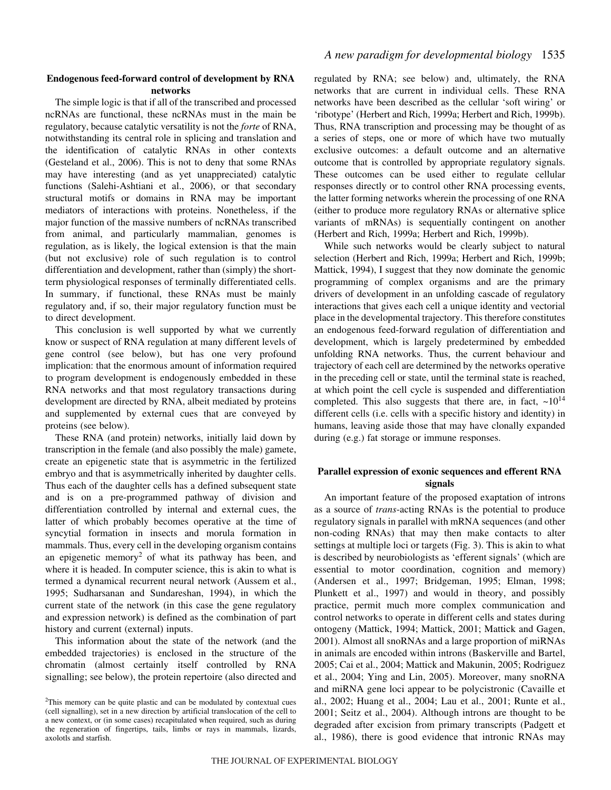## **Endogenous feed-forward control of development by RNA networks**

The simple logic is that if all of the transcribed and processed ncRNAs are functional, these ncRNAs must in the main be regulatory, because catalytic versatility is not the *forte* of RNA, notwithstanding its central role in splicing and translation and the identification of catalytic RNAs in other contexts (Gesteland et al., 2006). This is not to deny that some RNAs may have interesting (and as yet unappreciated) catalytic functions (Salehi-Ashtiani et al., 2006), or that secondary structural motifs or domains in RNA may be important mediators of interactions with proteins. Nonetheless, if the major function of the massive numbers of ncRNAs transcribed from animal, and particularly mammalian, genomes is regulation, as is likely, the logical extension is that the main (but not exclusive) role of such regulation is to control differentiation and development, rather than (simply) the shortterm physiological responses of terminally differentiated cells. In summary, if functional, these RNAs must be mainly regulatory and, if so, their major regulatory function must be to direct development.

This conclusion is well supported by what we currently know or suspect of RNA regulation at many different levels of gene control (see below), but has one very profound implication: that the enormous amount of information required to program development is endogenously embedded in these RNA networks and that most regulatory transactions during development are directed by RNA, albeit mediated by proteins and supplemented by external cues that are conveyed by proteins (see below).

These RNA (and protein) networks, initially laid down by transcription in the female (and also possibly the male) gamete, create an epigenetic state that is asymmetric in the fertilized embryo and that is asymmetrically inherited by daughter cells. Thus each of the daughter cells has a defined subsequent state and is on a pre-programmed pathway of division and differentiation controlled by internal and external cues, the latter of which probably becomes operative at the time of syncytial formation in insects and morula formation in mammals. Thus, every cell in the developing organism contains an epigenetic memory<sup>2</sup> of what its pathway has been, and where it is headed. In computer science, this is akin to what is termed a dynamical recurrent neural network (Aussem et al., 1995; Sudharsanan and Sundareshan, 1994), in which the current state of the network (in this case the gene regulatory and expression network) is defined as the combination of part history and current (external) inputs.

This information about the state of the network (and the embedded trajectories) is enclosed in the structure of the chromatin (almost certainly itself controlled by RNA signalling; see below), the protein repertoire (also directed and regulated by RNA; see below) and, ultimately, the RNA networks that are current in individual cells. These RNA networks have been described as the cellular 'soft wiring' or 'ribotype' (Herbert and Rich, 1999a; Herbert and Rich, 1999b). Thus, RNA transcription and processing may be thought of as a series of steps, one or more of which have two mutually exclusive outcomes: a default outcome and an alternative outcome that is controlled by appropriate regulatory signals. These outcomes can be used either to regulate cellular responses directly or to control other RNA processing events, the latter forming networks wherein the processing of one RNA (either to produce more regulatory RNAs or alternative splice variants of mRNAs) is sequentially contingent on another (Herbert and Rich, 1999a; Herbert and Rich, 1999b).

While such networks would be clearly subject to natural selection (Herbert and Rich, 1999a; Herbert and Rich, 1999b; Mattick, 1994), I suggest that they now dominate the genomic programming of complex organisms and are the primary drivers of development in an unfolding cascade of regulatory interactions that gives each cell a unique identity and vectorial place in the developmental trajectory. This therefore constitutes an endogenous feed-forward regulation of differentiation and development, which is largely predetermined by embedded unfolding RNA networks. Thus, the current behaviour and trajectory of each cell are determined by the networks operative in the preceding cell or state, until the terminal state is reached, at which point the cell cycle is suspended and differentiation completed. This also suggests that there are, in fact,  $\sim 10^{14}$ different cells (i.e. cells with a specific history and identity) in humans, leaving aside those that may have clonally expanded during (e.g.) fat storage or immune responses.

## **Parallel expression of exonic sequences and efferent RNA signals**

An important feature of the proposed exaptation of introns as a source of *trans*-acting RNAs is the potential to produce regulatory signals in parallel with mRNA sequences (and other non-coding RNAs) that may then make contacts to alter settings at multiple loci or targets (Fig. 3). This is akin to what is described by neurobiologists as 'efferent signals' (which are essential to motor coordination, cognition and memory) (Andersen et al., 1997; Bridgeman, 1995; Elman, 1998; Plunkett et al., 1997) and would in theory, and possibly practice, permit much more complex communication and control networks to operate in different cells and states during ontogeny (Mattick, 1994; Mattick, 2001; Mattick and Gagen, 2001). Almost all snoRNAs and a large proportion of miRNAs in animals are encoded within introns (Baskerville and Bartel, 2005; Cai et al., 2004; Mattick and Makunin, 2005; Rodriguez et al., 2004; Ying and Lin, 2005). Moreover, many snoRNA and miRNA gene loci appear to be polycistronic (Cavaille et al., 2002; Huang et al., 2004; Lau et al., 2001; Runte et al., 2001; Seitz et al., 2004). Although introns are thought to be degraded after excision from primary transcripts (Padgett et al., 1986), there is good evidence that intronic RNAs may

<sup>&</sup>lt;sup>2</sup>This memory can be quite plastic and can be modulated by contextual cues (cell signalling), set in a new direction by artificial translocation of the cell to a new context, or (in some cases) recapitulated when required, such as during the regeneration of fingertips, tails, limbs or rays in mammals, lizards, axolotls and starfish.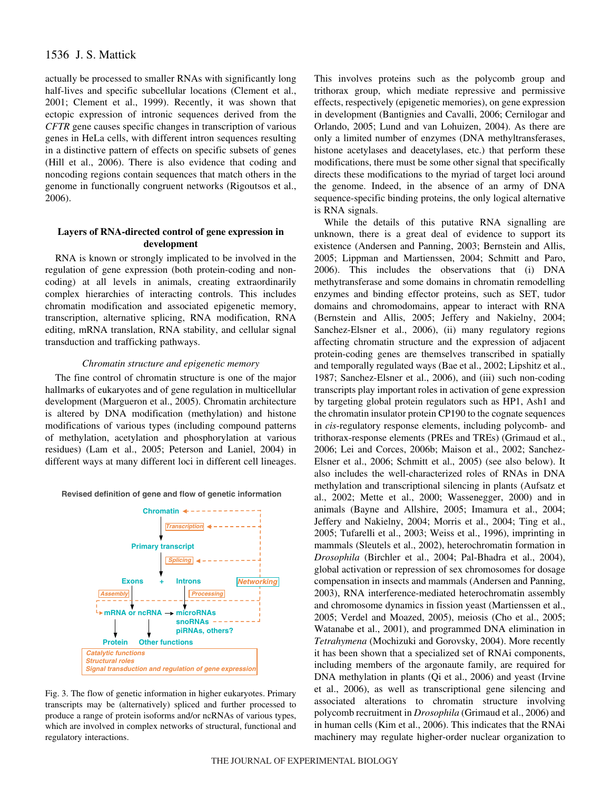actually be processed to smaller RNAs with significantly long half-lives and specific subcellular locations (Clement et al., 2001; Clement et al., 1999). Recently, it was shown that ectopic expression of intronic sequences derived from the *CFTR* gene causes specific changes in transcription of various genes in HeLa cells, with different intron sequences resulting in a distinctive pattern of effects on specific subsets of genes (Hill et al., 2006). There is also evidence that coding and noncoding regions contain sequences that match others in the genome in functionally congruent networks (Rigoutsos et al., 2006).

## **Layers of RNA-directed control of gene expression in development**

RNA is known or strongly implicated to be involved in the regulation of gene expression (both protein-coding and noncoding) at all levels in animals, creating extraordinarily complex hierarchies of interacting controls. This includes chromatin modification and associated epigenetic memory, transcription, alternative splicing, RNA modification, RNA editing, mRNA translation, RNA stability, and cellular signal transduction and trafficking pathways.

### *Chromatin structure and epigenetic memory*

The fine control of chromatin structure is one of the major hallmarks of eukaryotes and of gene regulation in multicellular development (Margueron et al., 2005). Chromatin architecture is altered by DNA modification (methylation) and histone modifications of various types (including compound patterns of methylation, acetylation and phosphorylation at various residues) (Lam et al., 2005; Peterson and Laniel, 2004) in different ways at many different loci in different cell lineages.





Fig. 3. The flow of genetic information in higher eukaryotes. Primary transcripts may be (alternatively) spliced and further processed to produce a range of protein isoforms and/or ncRNAs of various types, which are involved in complex networks of structural, functional and regulatory interactions.

This involves proteins such as the polycomb group and trithorax group, which mediate repressive and permissive effects, respectively (epigenetic memories), on gene expression in development (Bantignies and Cavalli, 2006; Cernilogar and Orlando, 2005; Lund and van Lohuizen, 2004). As there are only a limited number of enzymes (DNA methyltransferases, histone acetylases and deacetylases, etc.) that perform these modifications, there must be some other signal that specifically directs these modifications to the myriad of target loci around the genome. Indeed, in the absence of an army of DNA sequence-specific binding proteins, the only logical alternative is RNA signals.

While the details of this putative RNA signalling are unknown, there is a great deal of evidence to support its existence (Andersen and Panning, 2003; Bernstein and Allis, 2005; Lippman and Martienssen, 2004; Schmitt and Paro, 2006). This includes the observations that (i) DNA methytransferase and some domains in chromatin remodelling enzymes and binding effector proteins, such as SET, tudor domains and chromodomains, appear to interact with RNA (Bernstein and Allis, 2005; Jeffery and Nakielny, 2004; Sanchez-Elsner et al., 2006), (ii) many regulatory regions affecting chromatin structure and the expression of adjacent protein-coding genes are themselves transcribed in spatially and temporally regulated ways (Bae et al., 2002; Lipshitz et al., 1987; Sanchez-Elsner et al., 2006), and (iii) such non-coding transcripts play important roles in activation of gene expression by targeting global protein regulators such as HP1, Ash1 and the chromatin insulator protein CP190 to the cognate sequences in *cis*-regulatory response elements, including polycomb- and trithorax-response elements (PREs and TREs) (Grimaud et al., 2006; Lei and Corces, 2006b; Maison et al., 2002; Sanchez-Elsner et al., 2006; Schmitt et al., 2005) (see also below). It also includes the well-characterized roles of RNAs in DNA methylation and transcriptional silencing in plants (Aufsatz et al., 2002; Mette et al., 2000; Wassenegger, 2000) and in animals (Bayne and Allshire, 2005; Imamura et al., 2004; Jeffery and Nakielny, 2004; Morris et al., 2004; Ting et al., 2005; Tufarelli et al., 2003; Weiss et al., 1996), imprinting in mammals (Sleutels et al., 2002), heterochromatin formation in *Drosophila* (Birchler et al., 2004; Pal-Bhadra et al., 2004), global activation or repression of sex chromosomes for dosage compensation in insects and mammals (Andersen and Panning, 2003), RNA interference-mediated heterochromatin assembly and chromosome dynamics in fission yeast (Martienssen et al., 2005; Verdel and Moazed, 2005), meiosis (Cho et al., 2005; Watanabe et al., 2001), and programmed DNA elimination in *Tetrahymena* (Mochizuki and Gorovsky, 2004). More recently it has been shown that a specialized set of RNAi components, including members of the argonaute family, are required for DNA methylation in plants (Qi et al., 2006) and yeast (Irvine et al., 2006), as well as transcriptional gene silencing and associated alterations to chromatin structure involving polycomb recruitment in *Drosophila* (Grimaud et al., 2006) and in human cells (Kim et al., 2006). This indicates that the RNAi machinery may regulate higher-order nuclear organization to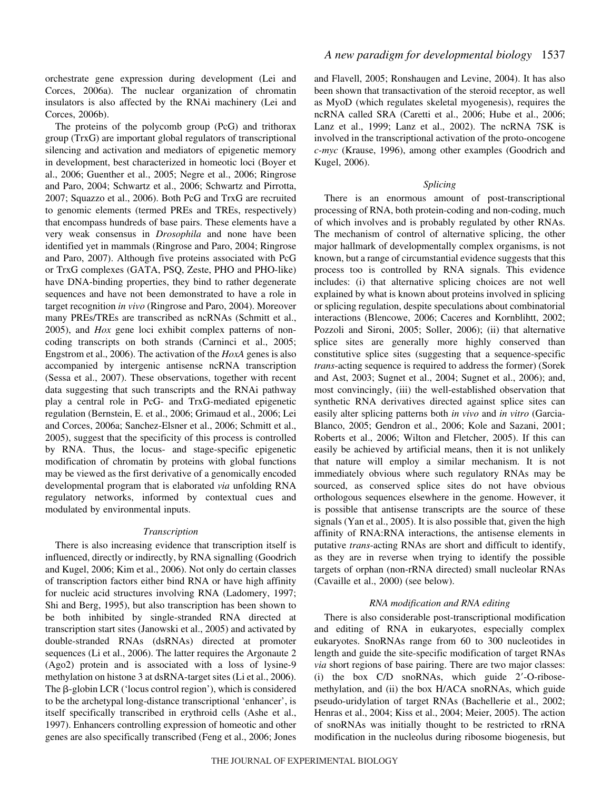orchestrate gene expression during development (Lei and Corces, 2006a). The nuclear organization of chromatin insulators is also affected by the RNAi machinery (Lei and Corces, 2006b).

The proteins of the polycomb group (PcG) and trithorax group (TrxG) are important global regulators of transcriptional silencing and activation and mediators of epigenetic memory in development, best characterized in homeotic loci (Boyer et al., 2006; Guenther et al., 2005; Negre et al., 2006; Ringrose and Paro, 2004; Schwartz et al., 2006; Schwartz and Pirrotta, 2007; Squazzo et al., 2006). Both PcG and TrxG are recruited to genomic elements (termed PREs and TREs, respectively) that encompass hundreds of base pairs. These elements have a very weak consensus in *Drosophila* and none have been identified yet in mammals (Ringrose and Paro, 2004; Ringrose and Paro, 2007). Although five proteins associated with PcG or TrxG complexes (GATA, PSQ, Zeste, PHO and PHO-like) have DNA-binding properties, they bind to rather degenerate sequences and have not been demonstrated to have a role in target recognition *in vivo* (Ringrose and Paro, 2004). Moreover many PREs/TREs are transcribed as ncRNAs (Schmitt et al., 2005), and *Hox* gene loci exhibit complex patterns of noncoding transcripts on both strands (Carninci et al., 2005; Engstrom et al., 2006). The activation of the *HoxA* genes is also accompanied by intergenic antisense ncRNA transcription (Sessa et al., 2007). These observations, together with recent data suggesting that such transcripts and the RNAi pathway play a central role in PcG- and TrxG-mediated epigenetic regulation (Bernstein, E. et al., 2006; Grimaud et al., 2006; Lei and Corces, 2006a; Sanchez-Elsner et al., 2006; Schmitt et al., 2005), suggest that the specificity of this process is controlled by RNA. Thus, the locus- and stage-specific epigenetic modification of chromatin by proteins with global functions may be viewed as the first derivative of a genomically encoded developmental program that is elaborated *via* unfolding RNA regulatory networks, informed by contextual cues and modulated by environmental inputs.

### *Transcription*

There is also increasing evidence that transcription itself is influenced, directly or indirectly, by RNA signalling (Goodrich and Kugel, 2006; Kim et al., 2006). Not only do certain classes of transcription factors either bind RNA or have high affinity for nucleic acid structures involving RNA (Ladomery, 1997; Shi and Berg, 1995), but also transcription has been shown to be both inhibited by single-stranded RNA directed at transcription start sites (Janowski et al., 2005) and activated by double-stranded RNAs (dsRNAs) directed at promoter sequences (Li et al., 2006). The latter requires the Argonaute 2 (Ago2) protein and is associated with a loss of lysine-9 methylation on histone 3 at dsRNA-target sites (Li et al., 2006). The  $\beta$ -globin LCR ('locus control region'), which is considered to be the archetypal long-distance transcriptional 'enhancer', is itself specifically transcribed in erythroid cells (Ashe et al., 1997). Enhancers controlling expression of homeotic and other genes are also specifically transcribed (Feng et al., 2006; Jones and Flavell, 2005; Ronshaugen and Levine, 2004). It has also been shown that transactivation of the steroid receptor, as well as MyoD (which regulates skeletal myogenesis), requires the ncRNA called SRA (Caretti et al., 2006; Hube et al., 2006; Lanz et al., 1999; Lanz et al., 2002). The ncRNA 7SK is involved in the transcriptional activation of the proto-oncogene *c-myc* (Krause, 1996), among other examples (Goodrich and Kugel, 2006).

### *Splicing*

There is an enormous amount of post-transcriptional processing of RNA, both protein-coding and non-coding, much of which involves and is probably regulated by other RNAs. The mechanism of control of alternative splicing, the other major hallmark of developmentally complex organisms, is not known, but a range of circumstantial evidence suggests that this process too is controlled by RNA signals. This evidence includes: (i) that alternative splicing choices are not well explained by what is known about proteins involved in splicing or splicing regulation, despite speculations about combinatorial interactions (Blencowe, 2006; Caceres and Kornblihtt, 2002; Pozzoli and Sironi, 2005; Soller, 2006); (ii) that alternative splice sites are generally more highly conserved than constitutive splice sites (suggesting that a sequence-specific *trans*-acting sequence is required to address the former) (Sorek and Ast, 2003; Sugnet et al., 2004; Sugnet et al., 2006); and, most convincingly, (iii) the well-established observation that synthetic RNA derivatives directed against splice sites can easily alter splicing patterns both *in vivo* and *in vitro* (Garcia-Blanco, 2005; Gendron et al., 2006; Kole and Sazani, 2001; Roberts et al., 2006; Wilton and Fletcher, 2005). If this can easily be achieved by artificial means, then it is not unlikely that nature will employ a similar mechanism. It is not immediately obvious where such regulatory RNAs may be sourced, as conserved splice sites do not have obvious orthologous sequences elsewhere in the genome. However, it is possible that antisense transcripts are the source of these signals (Yan et al., 2005). It is also possible that, given the high affinity of RNA:RNA interactions, the antisense elements in putative *trans*-acting RNAs are short and difficult to identify, as they are in reverse when trying to identify the possible targets of orphan (non-rRNA directed) small nucleolar RNAs (Cavaille et al., 2000) (see below).

### *RNA modification and RNA editing*

There is also considerable post-transcriptional modification and editing of RNA in eukaryotes, especially complex eukaryotes. SnoRNAs range from 60 to 300 nucleotides in length and guide the site-specific modification of target RNAs *via* short regions of base pairing. There are two major classes: (i) the box C/D snoRNAs, which guide 2-O-ribosemethylation, and (ii) the box H/ACA snoRNAs, which guide pseudo-uridylation of target RNAs (Bachellerie et al., 2002; Henras et al., 2004; Kiss et al., 2004; Meier, 2005). The action of snoRNAs was initially thought to be restricted to rRNA modification in the nucleolus during ribosome biogenesis, but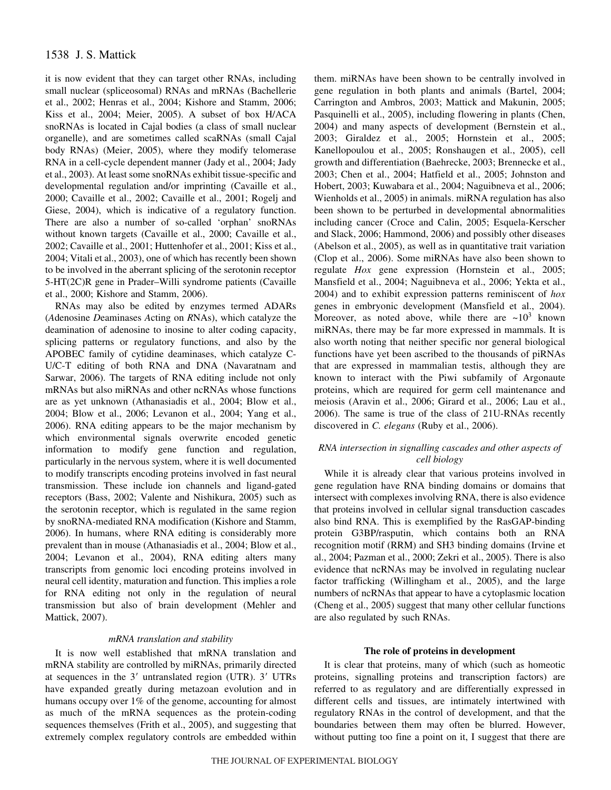it is now evident that they can target other RNAs, including small nuclear (spliceosomal) RNAs and mRNAs (Bachellerie et al., 2002; Henras et al., 2004; Kishore and Stamm, 2006; Kiss et al., 2004; Meier, 2005). A subset of box H/ACA snoRNAs is located in Cajal bodies (a class of small nuclear organelle), and are sometimes called scaRNAs (small Cajal body RNAs) (Meier, 2005), where they modify telomerase RNA in a cell-cycle dependent manner (Jady et al., 2004; Jady et al., 2003). At least some snoRNAs exhibit tissue-specific and developmental regulation and/or imprinting (Cavaille et al., 2000; Cavaille et al., 2002; Cavaille et al., 2001; Rogelj and Giese, 2004), which is indicative of a regulatory function. There are also a number of so-called 'orphan' snoRNAs without known targets (Cavaille et al., 2000; Cavaille et al., 2002; Cavaille et al., 2001; Huttenhofer et al., 2001; Kiss et al., 2004; Vitali et al., 2003), one of which has recently been shown to be involved in the aberrant splicing of the serotonin receptor 5-HT(2C)R gene in Prader–Willi syndrome patients (Cavaille et al., 2000; Kishore and Stamm, 2006).

RNAs may also be edited by enzymes termed ADARs (*A*denosine *D*eaminases *A*cting on *R*NAs), which catalyze the deamination of adenosine to inosine to alter coding capacity, splicing patterns or regulatory functions, and also by the APOBEC family of cytidine deaminases, which catalyze C-U/C-T editing of both RNA and DNA (Navaratnam and Sarwar, 2006). The targets of RNA editing include not only mRNAs but also miRNAs and other ncRNAs whose functions are as yet unknown (Athanasiadis et al., 2004; Blow et al., 2004; Blow et al., 2006; Levanon et al., 2004; Yang et al., 2006). RNA editing appears to be the major mechanism by which environmental signals overwrite encoded genetic information to modify gene function and regulation, particularly in the nervous system, where it is well documented to modify transcripts encoding proteins involved in fast neural transmission. These include ion channels and ligand-gated receptors (Bass, 2002; Valente and Nishikura, 2005) such as the serotonin receptor, which is regulated in the same region by snoRNA-mediated RNA modification (Kishore and Stamm, 2006). In humans, where RNA editing is considerably more prevalent than in mouse (Athanasiadis et al., 2004; Blow et al., 2004; Levanon et al., 2004), RNA editing alters many transcripts from genomic loci encoding proteins involved in neural cell identity, maturation and function. This implies a role for RNA editing not only in the regulation of neural transmission but also of brain development (Mehler and Mattick, 2007).

#### *mRNA translation and stability*

It is now well established that mRNA translation and mRNA stability are controlled by miRNAs, primarily directed at sequences in the  $3'$  untranslated region (UTR).  $3'$  UTRs have expanded greatly during metazoan evolution and in humans occupy over 1% of the genome, accounting for almost as much of the mRNA sequences as the protein-coding sequences themselves (Frith et al., 2005), and suggesting that extremely complex regulatory controls are embedded within them. miRNAs have been shown to be centrally involved in gene regulation in both plants and animals (Bartel, 2004; Carrington and Ambros, 2003; Mattick and Makunin, 2005; Pasquinelli et al., 2005), including flowering in plants (Chen, 2004) and many aspects of development (Bernstein et al., 2003; Giraldez et al., 2005; Hornstein et al., 2005; Kanellopoulou et al., 2005; Ronshaugen et al., 2005), cell growth and differentiation (Baehrecke, 2003; Brennecke et al., 2003; Chen et al., 2004; Hatfield et al., 2005; Johnston and Hobert, 2003; Kuwabara et al., 2004; Naguibneva et al., 2006; Wienholds et al., 2005) in animals. miRNA regulation has also been shown to be perturbed in developmental abnormalities including cancer (Croce and Calin, 2005; Esquela-Kerscher and Slack, 2006; Hammond, 2006) and possibly other diseases (Abelson et al., 2005), as well as in quantitative trait variation (Clop et al., 2006). Some miRNAs have also been shown to regulate *Hox* gene expression (Hornstein et al., 2005; Mansfield et al., 2004; Naguibneva et al., 2006; Yekta et al., 2004) and to exhibit expression patterns reminiscent of *hox* genes in embryonic development (Mansfield et al., 2004). Moreover, as noted above, while there are  $\sim 10^3$  known miRNAs, there may be far more expressed in mammals. It is also worth noting that neither specific nor general biological functions have yet been ascribed to the thousands of piRNAs that are expressed in mammalian testis, although they are known to interact with the Piwi subfamily of Argonaute proteins, which are required for germ cell maintenance and meiosis (Aravin et al., 2006; Girard et al., 2006; Lau et al., 2006). The same is true of the class of 21U-RNAs recently discovered in *C. elegans* (Ruby et al., 2006).

## *RNA intersection in signalling cascades and other aspects of cell biology*

While it is already clear that various proteins involved in gene regulation have RNA binding domains or domains that intersect with complexes involving RNA, there is also evidence that proteins involved in cellular signal transduction cascades also bind RNA. This is exemplified by the RasGAP-binding protein G3BP/rasputin, which contains both an RNA recognition motif (RRM) and SH3 binding domains (Irvine et al., 2004; Pazman et al., 2000; Zekri et al., 2005). There is also evidence that ncRNAs may be involved in regulating nuclear factor trafficking (Willingham et al., 2005), and the large numbers of ncRNAs that appear to have a cytoplasmic location (Cheng et al., 2005) suggest that many other cellular functions are also regulated by such RNAs.

#### **The role of proteins in development**

It is clear that proteins, many of which (such as homeotic proteins, signalling proteins and transcription factors) are referred to as regulatory and are differentially expressed in different cells and tissues, are intimately intertwined with regulatory RNAs in the control of development, and that the boundaries between them may often be blurred. However, without putting too fine a point on it, I suggest that there are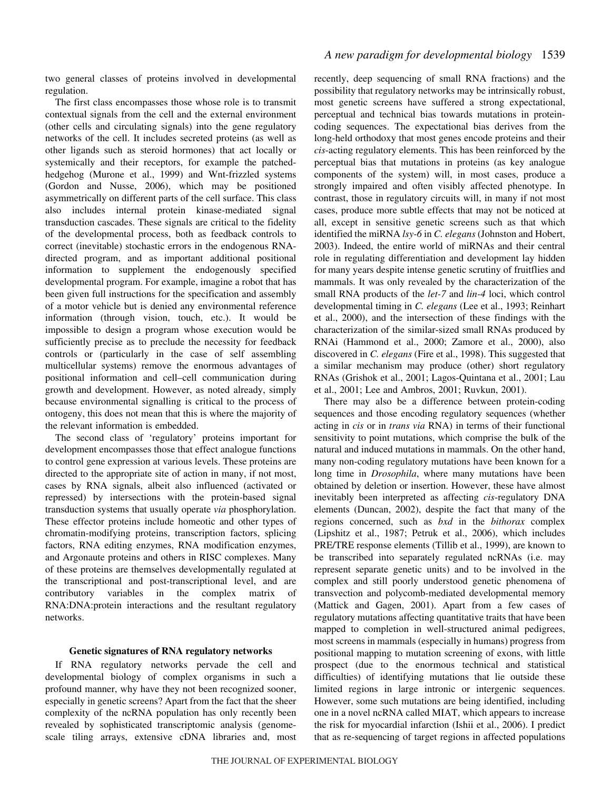two general classes of proteins involved in developmental regulation.

The first class encompasses those whose role is to transmit contextual signals from the cell and the external environment (other cells and circulating signals) into the gene regulatory networks of the cell. It includes secreted proteins (as well as other ligands such as steroid hormones) that act locally or systemically and their receptors, for example the patchedhedgehog (Murone et al., 1999) and Wnt-frizzled systems (Gordon and Nusse, 2006), which may be positioned asymmetrically on different parts of the cell surface. This class also includes internal protein kinase-mediated signal transduction cascades. These signals are critical to the fidelity of the developmental process, both as feedback controls to correct (inevitable) stochastic errors in the endogenous RNAdirected program, and as important additional positional information to supplement the endogenously specified developmental program. For example, imagine a robot that has been given full instructions for the specification and assembly of a motor vehicle but is denied any environmental reference information (through vision, touch, etc.). It would be impossible to design a program whose execution would be sufficiently precise as to preclude the necessity for feedback controls or (particularly in the case of self assembling multicellular systems) remove the enormous advantages of positional information and cell–cell communication during growth and development. However, as noted already, simply because environmental signalling is critical to the process of ontogeny, this does not mean that this is where the majority of the relevant information is embedded.

The second class of 'regulatory' proteins important for development encompasses those that effect analogue functions to control gene expression at various levels. These proteins are directed to the appropriate site of action in many, if not most, cases by RNA signals, albeit also influenced (activated or repressed) by intersections with the protein-based signal transduction systems that usually operate *via* phosphorylation. These effector proteins include homeotic and other types of chromatin-modifying proteins, transcription factors, splicing factors, RNA editing enzymes, RNA modification enzymes, and Argonaute proteins and others in RISC complexes. Many of these proteins are themselves developmentally regulated at the transcriptional and post-transcriptional level, and are contributory variables in the complex matrix of RNA:DNA:protein interactions and the resultant regulatory networks.

#### **Genetic signatures of RNA regulatory networks**

If RNA regulatory networks pervade the cell and developmental biology of complex organisms in such a profound manner, why have they not been recognized sooner, especially in genetic screens? Apart from the fact that the sheer complexity of the ncRNA population has only recently been revealed by sophisticated transcriptomic analysis (genomescale tiling arrays, extensive cDNA libraries and, most recently, deep sequencing of small RNA fractions) and the possibility that regulatory networks may be intrinsically robust, most genetic screens have suffered a strong expectational, perceptual and technical bias towards mutations in proteincoding sequences. The expectational bias derives from the long-held orthodoxy that most genes encode proteins and their *cis*-acting regulatory elements. This has been reinforced by the perceptual bias that mutations in proteins (as key analogue components of the system) will, in most cases, produce a strongly impaired and often visibly affected phenotype. In contrast, those in regulatory circuits will, in many if not most cases, produce more subtle effects that may not be noticed at all, except in sensitive genetic screens such as that which identified the miRNA *lsy-6* in *C. elegans* (Johnston and Hobert, 2003). Indeed, the entire world of miRNAs and their central role in regulating differentiation and development lay hidden for many years despite intense genetic scrutiny of fruitflies and mammals. It was only revealed by the characterization of the small RNA products of the *let-7* and *lin-4* loci, which control developmental timing in *C. elegans* (Lee et al., 1993; Reinhart et al., 2000), and the intersection of these findings with the characterization of the similar-sized small RNAs produced by RNAi (Hammond et al., 2000; Zamore et al., 2000), also discovered in *C. elegans* (Fire et al., 1998). This suggested that a similar mechanism may produce (other) short regulatory RNAs (Grishok et al., 2001; Lagos-Quintana et al., 2001; Lau et al., 2001; Lee and Ambros, 2001; Ruvkun, 2001).

There may also be a difference between protein-coding sequences and those encoding regulatory sequences (whether acting in *cis* or in *trans via* RNA) in terms of their functional sensitivity to point mutations, which comprise the bulk of the natural and induced mutations in mammals. On the other hand, many non-coding regulatory mutations have been known for a long time in *Drosophila*, where many mutations have been obtained by deletion or insertion. However, these have almost inevitably been interpreted as affecting *cis*-regulatory DNA elements (Duncan, 2002), despite the fact that many of the regions concerned, such as *bxd* in the *bithorax* complex (Lipshitz et al., 1987; Petruk et al., 2006), which includes PRE/TRE response elements (Tillib et al., 1999), are known to be transcribed into separately regulated ncRNAs (i.e. may represent separate genetic units) and to be involved in the complex and still poorly understood genetic phenomena of transvection and polycomb-mediated developmental memory (Mattick and Gagen, 2001). Apart from a few cases of regulatory mutations affecting quantitative traits that have been mapped to completion in well-structured animal pedigrees, most screens in mammals (especially in humans) progress from positional mapping to mutation screening of exons, with little prospect (due to the enormous technical and statistical difficulties) of identifying mutations that lie outside these limited regions in large intronic or intergenic sequences. However, some such mutations are being identified, including one in a novel ncRNA called MIAT, which appears to increase the risk for myocardial infarction (Ishii et al., 2006). I predict that as re-sequencing of target regions in affected populations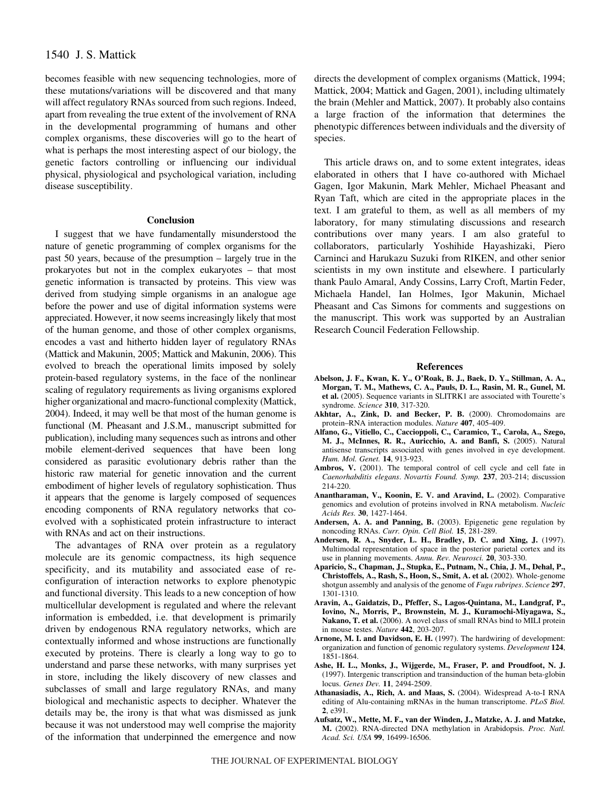becomes feasible with new sequencing technologies, more of these mutations/variations will be discovered and that many will affect regulatory RNAs sourced from such regions. Indeed, apart from revealing the true extent of the involvement of RNA in the developmental programming of humans and other complex organisms, these discoveries will go to the heart of what is perhaps the most interesting aspect of our biology, the genetic factors controlling or influencing our individual physical, physiological and psychological variation, including disease susceptibility.

#### **Conclusion**

I suggest that we have fundamentally misunderstood the nature of genetic programming of complex organisms for the past 50 years, because of the presumption – largely true in the prokaryotes but not in the complex eukaryotes – that most genetic information is transacted by proteins. This view was derived from studying simple organisms in an analogue age before the power and use of digital information systems were appreciated. However, it now seems increasingly likely that most of the human genome, and those of other complex organisms, encodes a vast and hitherto hidden layer of regulatory RNAs (Mattick and Makunin, 2005; Mattick and Makunin, 2006). This evolved to breach the operational limits imposed by solely protein-based regulatory systems, in the face of the nonlinear scaling of regulatory requirements as living organisms explored higher organizational and macro-functional complexity (Mattick, 2004). Indeed, it may well be that most of the human genome is functional (M. Pheasant and J.S.M., manuscript submitted for publication), including many sequences such as introns and other mobile element-derived sequences that have been long considered as parasitic evolutionary debris rather than the historic raw material for genetic innovation and the current embodiment of higher levels of regulatory sophistication. Thus it appears that the genome is largely composed of sequences encoding components of RNA regulatory networks that coevolved with a sophisticated protein infrastructure to interact with RNAs and act on their instructions.

The advantages of RNA over protein as a regulatory molecule are its genomic compactness, its high sequence specificity, and its mutability and associated ease of reconfiguration of interaction networks to explore phenotypic and functional diversity. This leads to a new conception of how multicellular development is regulated and where the relevant information is embedded, i.e. that development is primarily driven by endogenous RNA regulatory networks, which are contextually informed and whose instructions are functionally executed by proteins. There is clearly a long way to go to understand and parse these networks, with many surprises yet in store, including the likely discovery of new classes and subclasses of small and large regulatory RNAs, and many biological and mechanistic aspects to decipher. Whatever the details may be, the irony is that what was dismissed as junk because it was not understood may well comprise the majority of the information that underpinned the emergence and now directs the development of complex organisms (Mattick, 1994; Mattick, 2004; Mattick and Gagen, 2001), including ultimately the brain (Mehler and Mattick, 2007). It probably also contains a large fraction of the information that determines the phenotypic differences between individuals and the diversity of species.

This article draws on, and to some extent integrates, ideas elaborated in others that I have co-authored with Michael Gagen, Igor Makunin, Mark Mehler, Michael Pheasant and Ryan Taft, which are cited in the appropriate places in the text. I am grateful to them, as well as all members of my laboratory, for many stimulating discussions and research contributions over many years. I am also grateful to collaborators, particularly Yoshihide Hayashizaki, Piero Carninci and Harukazu Suzuki from RIKEN, and other senior scientists in my own institute and elsewhere. I particularly thank Paulo Amaral, Andy Cossins, Larry Croft, Martin Feder, Michaela Handel, Ian Holmes, Igor Makunin, Michael Pheasant and Cas Simons for comments and suggestions on the manuscript. This work was supported by an Australian Research Council Federation Fellowship.

#### **References**

- **Abelson, J. F., Kwan, K. Y., O'Roak, B. J., Baek, D. Y., Stillman, A. A., Morgan, T. M., Mathews, C. A., Pauls, D. L., Rasin, M. R., Gunel, M. et al.** (2005). Sequence variants in SLITRK1 are associated with Tourette's syndrome. *Science* **310**, 317-320.
- **Akhtar, A., Zink, D. and Becker, P. B.** (2000). Chromodomains are protein–RNA interaction modules. *Nature* **407**, 405-409.
- **Alfano, G., Vitiello, C., Caccioppoli, C., Caramico, T., Carola, A., Szego, M. J., McInnes, R. R., Auricchio, A. and Banfi, S.** (2005). Natural antisense transcripts associated with genes involved in eye development. *Hum. Mol. Genet.* **14**, 913-923.
- **Ambros, V.** (2001). The temporal control of cell cycle and cell fate in *Caenorhabditis elegans*. *Novartis Found. Symp.* **237**, 203-214; discussion 214-220.
- **Anantharaman, V., Koonin, E. V. and Aravind, L.** (2002). Comparative genomics and evolution of proteins involved in RNA metabolism. *Nucleic Acids Res.* **30**, 1427-1464.
- **Andersen, A. A. and Panning, B.** (2003). Epigenetic gene regulation by noncoding RNAs. *Curr. Opin. Cell Biol.* **15**, 281-289.
- **Andersen, R. A., Snyder, L. H., Bradley, D. C. and Xing, J.** (1997). Multimodal representation of space in the posterior parietal cortex and its use in planning movements. *Annu. Rev. Neurosci.* **20**, 303-330.
- **Aparicio, S., Chapman, J., Stupka, E., Putnam, N., Chia, J. M., Dehal, P., Christoffels, A., Rash, S., Hoon, S., Smit, A. et al.** (2002). Whole-genome shotgun assembly and analysis of the genome of *Fugu rubripes*. *Science* **297**, 1301-1310.
- **Aravin, A., Gaidatzis, D., Pfeffer, S., Lagos-Quintana, M., Landgraf, P., Iovino, N., Morris, P., Brownstein, M. J., Kuramochi-Miyagawa, S., Nakano, T. et al.** (2006). A novel class of small RNAs bind to MILI protein in mouse testes. *Nature* **442**, 203-207.
- **Arnone, M. I. and Davidson, E. H.** (1997). The hardwiring of development: organization and function of genomic regulatory systems. *Development* **124**, 1851-1864.
- **Ashe, H. L., Monks, J., Wijgerde, M., Fraser, P. and Proudfoot, N. J.** (1997). Intergenic transcription and transinduction of the human beta-globin locus. *Genes Dev.* **11**, 2494-2509.
- **Athanasiadis, A., Rich, A. and Maas, S.** (2004). Widespread A-to-I RNA editing of Alu-containing mRNAs in the human transcriptome. *PLoS Biol.* **2**, e391.
- **Aufsatz, W., Mette, M. F., van der Winden, J., Matzke, A. J. and Matzke, M.** (2002). RNA-directed DNA methylation in Arabidopsis. *Proc. Natl. Acad. Sci. USA* **99**, 16499-16506.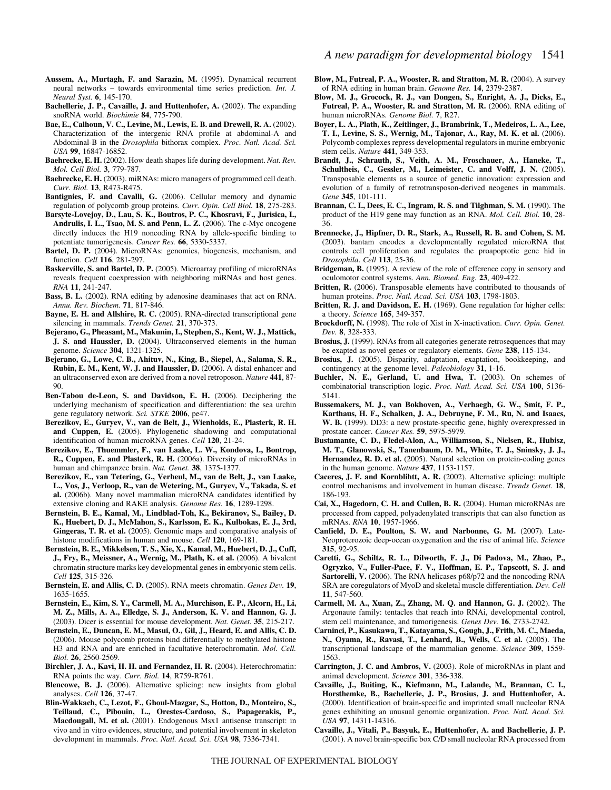- **Aussem, A., Murtagh, F. and Sarazin, M.** (1995). Dynamical recurrent neural networks – towards environmental time series prediction. *Int. J. Neural Syst.* **6**, 145-170.
- **Bachellerie, J. P., Cavaille, J. and Huttenhofer, A.** (2002). The expanding snoRNA world. *Biochimie* **84**, 775-790.
- **Bae, E., Calhoun, V. C., Levine, M., Lewis, E. B. and Drewell, R. A.** (2002). Characterization of the intergenic RNA profile at abdominal-A and Abdominal-B in the *Drosophila* bithorax complex. *Proc. Natl. Acad. Sci. USA* **99**, 16847-16852.
- **Baehrecke, E. H.** (2002). How death shapes life during development. *Nat. Rev. Mol. Cell Biol.* **3**, 779-787.
- **Baehrecke, E. H.** (2003). miRNAs: micro managers of programmed cell death. *Curr. Biol.* **13**, R473-R475.
- **Bantignies, F. and Cavalli, G.** (2006). Cellular memory and dynamic regulation of polycomb group proteins. *Curr. Opin. Cell Biol.* **18**, 275-283.
- **Barsyte-Lovejoy, D., Lau, S. K., Boutros, P. C., Khosravi, F., Jurisica, I., Andrulis, I. L., Tsao, M. S. and Penn, L. Z.** (2006). The c-Myc oncogene directly induces the H19 noncoding RNA by allele-specific binding to potentiate tumorigenesis. *Cancer Res.* **66**, 5330-5337.
- **Bartel, D. P.** (2004). MicroRNAs: genomics, biogenesis, mechanism, and function. *Cell* **116**, 281-297.
- **Baskerville, S. and Bartel, D. P.** (2005). Microarray profiling of microRNAs reveals frequent coexpression with neighboring miRNAs and host genes. *RNA* **11**, 241-247.
- **Bass, B. L.** (2002). RNA editing by adenosine deaminases that act on RNA. *Annu. Rev. Biochem.* **71**, 817-846.
- **Bayne, E. H. and Allshire, R. C.** (2005). RNA-directed transcriptional gene silencing in mammals. *Trends Genet.* **21**, 370-373.
- **Bejerano, G., Pheasant, M., Makunin, I., Stephen, S., Kent, W. J., Mattick, J. S. and Haussler, D.** (2004). Ultraconserved elements in the human genome. *Science* **304**, 1321-1325.
- **Bejerano, G., Lowe, C. B., Ahituv, N., King, B., Siepel, A., Salama, S. R., Rubin, E. M., Kent, W. J. and Haussler, D.** (2006). A distal enhancer and an ultraconserved exon are derived from a novel retroposon. *Nature* **441**, 87- 90.
- **Ben-Tabou de-Leon, S. and Davidson, E. H.** (2006). Deciphering the underlying mechanism of specification and differentiation: the sea urchin gene regulatory network. *Sci. STKE* **2006**, pe47.
- **Berezikov, E., Guryev, V., van de Belt, J., Wienholds, E., Plasterk, R. H. and Cuppen, E.** (2005). Phylogenetic shadowing and computational identification of human microRNA genes. *Cell* **120**, 21-24.
- **Berezikov, E., Thuemmler, F., van Laake, L. W., Kondova, I., Bontrop, R., Cuppen, E. and Plasterk, R. H.** (2006a). Diversity of microRNAs in human and chimpanzee brain. *Nat. Genet.* **38**, 1375-1377.
- **Berezikov, E., van Tetering, G., Verheul, M., van de Belt, J., van Laake, L., Vos, J., Verloop, R., van de Wetering, M., Guryev, V., Takada, S. et al.** (2006b). Many novel mammalian microRNA candidates identified by extensive cloning and RAKE analysis. *Genome Res.* **16**, 1289-1298.
- **Bernstein, B. E., Kamal, M., Lindblad-Toh, K., Bekiranov, S., Bailey, D. K., Huebert, D. J., McMahon, S., Karlsson, E. K., Kulbokas, E. J., 3rd, Gingeras, T. R. et al.** (2005). Genomic maps and comparative analysis of histone modifications in human and mouse. *Cell* **120**, 169-181.
- **Bernstein, B. E., Mikkelsen, T. S., Xie, X., Kamal, M., Huebert, D. J., Cuff, J., Fry, B., Meissner, A., Wernig, M., Plath, K. et al.** (2006). A bivalent chromatin structure marks key developmental genes in embryonic stem cells. *Cell* **125**, 315-326.
- **Bernstein, E. and Allis, C. D.** (2005). RNA meets chromatin. *Genes Dev.* **19**, 1635-1655.
- **Bernstein, E., Kim, S. Y., Carmell, M. A., Murchison, E. P., Alcorn, H., Li, M. Z., Mills, A. A., Elledge, S. J., Anderson, K. V. and Hannon, G. J.** (2003). Dicer is essential for mouse development. *Nat. Genet.* **35**, 215-217.
- **Bernstein, E., Duncan, E. M., Masui, O., Gil, J., Heard, E. and Allis, C. D.** (2006). Mouse polycomb proteins bind differentially to methylated histone H3 and RNA and are enriched in facultative heterochromatin. *Mol. Cell. Biol.* **26**, 2560-2569.
- **Birchler, J. A., Kavi, H. H. and Fernandez, H. R.** (2004). Heterochromatin: RNA points the way. *Curr. Biol.* **14**, R759-R761.
- **Blencowe, B. J.** (2006). Alternative splicing: new insights from global analyses. *Cell* **126**, 37-47.
- **Blin-Wakkach, C., Lezot, F., Ghoul-Mazgar, S., Hotton, D., Monteiro, S., Teillaud, C., Pibouin, L., Orestes-Cardoso, S., Papagerakis, P., Macdougall, M. et al.** (2001). Endogenous Msx1 antisense transcript: in vivo and in vitro evidences, structure, and potential involvement in skeleton development in mammals. *Proc. Natl. Acad. Sci. USA* **98**, 7336-7341.
- **Blow, M., Futreal, P. A., Wooster, R. and Stratton, M. R.** (2004). A survey of RNA editing in human brain. *Genome Res.* **14**, 2379-2387.
- **Blow, M. J., Grocock, R. J., van Dongen, S., Enright, A. J., Dicks, E., Futreal, P. A., Wooster, R. and Stratton, M. R.** (2006). RNA editing of human microRNAs. *Genome Biol.* **7**, R27.
- **Boyer, L. A., Plath, K., Zeitlinger, J., Brambrink, T., Medeiros, L. A., Lee, T. I., Levine, S. S., Wernig, M., Tajonar, A., Ray, M. K. et al.** (2006). Polycomb complexes repress developmental regulators in murine embryonic stem cells. *Nature* **441**, 349-353.
- **Brandt, J., Schrauth, S., Veith, A. M., Froschauer, A., Haneke, T., Schultheis, C., Gessler, M., Leimeister, C. and Volff, J. N.** (2005). Transposable elements as a source of genetic innovation: expression and evolution of a family of retrotransposon-derived neogenes in mammals. *Gene* **345**, 101-111.
- **Brannan, C. I., Dees, E. C., Ingram, R. S. and Tilghman, S. M.** (1990). The product of the H19 gene may function as an RNA. *Mol. Cell. Biol.* **10**, 28- 36.
- **Brennecke, J., Hipfner, D. R., Stark, A., Russell, R. B. and Cohen, S. M.** (2003). bantam encodes a developmentally regulated microRNA that controls cell proliferation and regulates the proapoptotic gene hid in *Drosophila*. *Cell* **113**, 25-36.
- **Bridgeman, B.** (1995). A review of the role of efference copy in sensory and oculomotor control systems. *Ann. Biomed. Eng.* **23**, 409-422.
- **Britten, R.** (2006). Transposable elements have contributed to thousands of human proteins. *Proc. Natl. Acad. Sci. USA* **103**, 1798-1803.
- **Britten, R. J. and Davidson, E. H.** (1969). Gene regulation for higher cells: a theory. *Science* **165**, 349-357.
- **Brockdorff, N.** (1998). The role of Xist in X-inactivation. *Curr. Opin. Genet. Dev.* **8**, 328-333.
- **Brosius, J.** (1999). RNAs from all categories generate retrosequences that may be exapted as novel genes or regulatory elements. *Gene* **238**, 115-134.
- **Brosius, J.** (2005). Disparity, adaptation, exaptation, bookkeeping, and contingency at the genome level. *Paleobiology* **31**, 1-16.
- **Buchler, N. E., Gerland, U. and Hwa, T.** (2003). On schemes of combinatorial transcription logic. *Proc. Natl. Acad. Sci. USA* **100**, 5136- 5141.
- **Bussemakers, M. J., van Bokhoven, A., Verhaegh, G. W., Smit, F. P., Karthaus, H. F., Schalken, J. A., Debruyne, F. M., Ru, N. and Isaacs, W. B.** (1999). DD3: a new prostate-specific gene, highly overexpressed in prostate cancer. *Cancer Res.* **59**, 5975-5979.
- **Bustamante, C. D., Fledel-Alon, A., Williamson, S., Nielsen, R., Hubisz, M. T., Glanowski, S., Tanenbaum, D. M., White, T. J., Sninsky, J. J.,** Hernandez, R. D. et al. (2005). Natural selection on protein-coding genes in the human genome. *Nature* **437**, 1153-1157.
- **Caceres, J. F. and Kornblihtt, A. R.** (2002). Alternative splicing: multiple control mechanisms and involvement in human disease. *Trends Genet.* **18**, 186-193.
- **Cai, X., Hagedorn, C. H. and Cullen, B. R.** (2004). Human microRNAs are processed from capped, polyadenylated transcripts that can also function as mRNAs. *RNA* **10**, 1957-1966.
- **Canfield, D. E., Poulton, S. W. and Narbonne, G. M.** (2007). Late-Neoproterozoic deep-ocean oxygenation and the rise of animal life. *Science* **315**, 92-95.
- **Caretti, G., Schiltz, R. L., Dilworth, F. J., Di Padova, M., Zhao, P., Ogryzko, V., Fuller-Pace, F. V., Hoffman, E. P., Tapscott, S. J. and Sartorelli, V.** (2006). The RNA helicases p68/p72 and the noncoding RNA SRA are coregulators of MyoD and skeletal muscle differentiation. *Dev. Cell* **11**, 547-560.
- **Carmell, M. A., Xuan, Z., Zhang, M. Q. and Hannon, G. J.** (2002). The Argonaute family: tentacles that reach into RNAi, developmental control, stem cell maintenance, and tumorigenesis. *Genes Dev.* **16**, 2733-2742.
- **Carninci, P., Kasukawa, T., Katayama, S., Gough, J., Frith, M. C., Maeda, N., Oyama, R., Ravasi, T., Lenhard, B., Wells, C. et al.** (2005). The transcriptional landscape of the mammalian genome. *Science* **309**, 1559- 1563.
- **Carrington, J. C. and Ambros, V.** (2003). Role of microRNAs in plant and animal development. *Science* **301**, 336-338.
- **Cavaille, J., Buiting, K., Kiefmann, M., Lalande, M., Brannan, C. I., Horsthemke, B., Bachellerie, J. P., Brosius, J. and Huttenhofer, A.** (2000). Identification of brain-specific and imprinted small nucleolar RNA genes exhibiting an unusual genomic organization. *Proc. Natl. Acad. Sci. USA* **97**, 14311-14316.
- **Cavaille, J., Vitali, P., Basyuk, E., Huttenhofer, A. and Bachellerie, J. P.** (2001). A novel brain-specific box C/D small nucleolar RNA processed from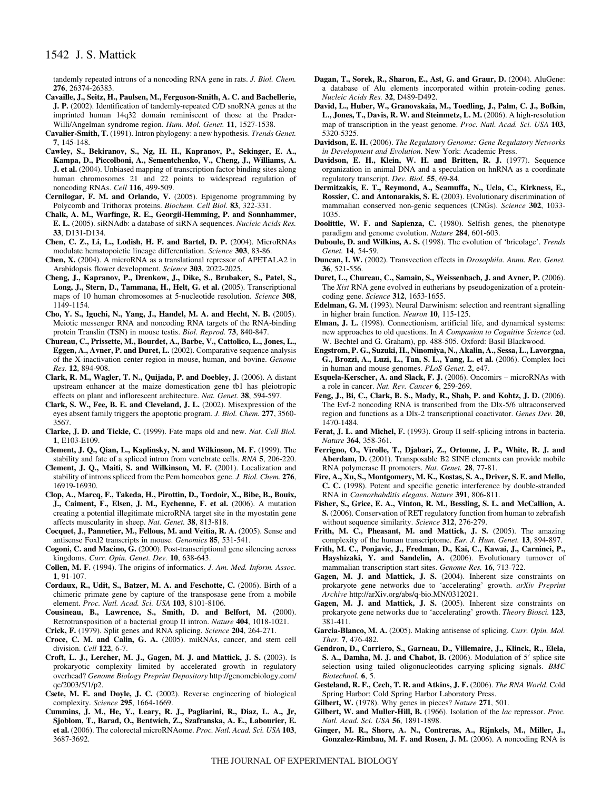tandemly repeated introns of a noncoding RNA gene in rats. *J. Biol. Chem.* **276**, 26374-26383.

- **Cavaille, J., Seitz, H., Paulsen, M., Ferguson-Smith, A. C. and Bachellerie, J. P.** (2002). Identification of tandemly-repeated C/D snoRNA genes at the imprinted human 14q32 domain reminiscent of those at the Prader-Willi/Angelman syndrome region. *Hum. Mol. Genet.* **11**, 1527-1538.
- **Cavalier-Smith, T.** (1991). Intron phylogeny: a new hypothesis. *Trends Genet.* **7**, 145-148.
- **Cawley, S., Bekiranov, S., Ng, H. H., Kapranov, P., Sekinger, E. A., Kampa, D., Piccolboni, A., Sementchenko, V., Cheng, J., Williams, A. J. et al.** (2004). Unbiased mapping of transcription factor binding sites along human chromosomes 21 and 22 points to widespread regulation of noncoding RNAs. *Cell* **116**, 499-509.
- **Cernilogar, F. M. and Orlando, V.** (2005). Epigenome programming by Polycomb and Trithorax proteins. *Biochem. Cell Biol.* **83**, 322-331.
- **Chalk, A. M., Warfinge, R. E., Georgii-Hemming, P. and Sonnhammer, E. L.** (2005). siRNAdb: a database of siRNA sequences. *Nucleic Acids Res.* **33**, D131-D134.
- **Chen, C. Z., Li, L., Lodish, H. F. and Bartel, D. P.** (2004). MicroRNAs modulate hematopoietic lineage differentiation. *Science* **303**, 83-86.
- **Chen, X.** (2004). A microRNA as a translational repressor of APETALA2 in Arabidopsis flower development. *Science* **303**, 2022-2025.
- **Cheng, J., Kapranov, P., Drenkow, J., Dike, S., Brubaker, S., Patel, S., Long, J., Stern, D., Tammana, H., Helt, G. et al.** (2005). Transcriptional maps of 10 human chromosomes at 5-nucleotide resolution. *Science* **308**, 1149-1154.
- **Cho, Y. S., Iguchi, N., Yang, J., Handel, M. A. and Hecht, N. B.** (2005). Meiotic messenger RNA and noncoding RNA targets of the RNA-binding protein Translin (TSN) in mouse testis. *Biol. Reprod.* **73**, 840-847.
- **Chureau, C., Prissette, M., Bourdet, A., Barbe, V., Cattolico, L., Jones, L., Eggen, A., Avner, P. and Duret, L.** (2002). Comparative sequence analysis of the X-inactivation center region in mouse, human, and bovine. *Genome Res.* **12**, 894-908.
- **Clark, R. M., Wagler, T. N., Quijada, P. and Doebley, J.** (2006). A distant upstream enhancer at the maize domestication gene tb1 has pleiotropic effects on plant and inflorescent architecture. *Nat. Genet.* **38**, 594-597.
- **Clark, S. W., Fee, B. E. and Cleveland, J. L.** (2002). Misexpression of the eyes absent family triggers the apoptotic program. *J. Biol. Chem.* **277**, 3560- 3567.
- **Clarke, J. D. and Tickle, C.** (1999). Fate maps old and new. *Nat. Cell Biol.* **1**, E103-E109.
- **Clement, J. Q., Qian, L., Kaplinsky, N. and Wilkinson, M. F.** (1999). The stability and fate of a spliced intron from vertebrate cells. *RNA* **5**, 206-220.
- **Clement, J. Q., Maiti, S. and Wilkinson, M. F.** (2001). Localization and stability of introns spliced from the Pem homeobox gene. *J. Biol. Chem.* **276**, 16919-16930.
- **Clop, A., Marcq, F., Takeda, H., Pirottin, D., Tordoir, X., Bibe, B., Bouix, J., Caiment, F., Elsen, J. M., Eychenne, F. et al.** (2006). A mutation creating a potential illegitimate microRNA target site in the myostatin gene affects muscularity in sheep. *Nat. Genet.* **38**, 813-818.
- **Cocquet, J., Pannetier, M., Fellous, M. and Veitia, R. A.** (2005). Sense and antisense Foxl2 transcripts in mouse. *Genomics* **85**, 531-541.
- **Cogoni, C. and Macino, G.** (2000). Post-transcriptional gene silencing across kingdoms. *Curr. Opin. Genet. Dev.* **10**, 638-643.
- **Collen, M. F.** (1994). The origins of informatics. *J. Am. Med. Inform. Assoc.* **1**, 91-107.
- **Cordaux, R., Udit, S., Batzer, M. A. and Feschotte, C.** (2006). Birth of a chimeric primate gene by capture of the transposase gene from a mobile element. *Proc. Natl. Acad. Sci. USA* **103**, 8101-8106.
- **Cousineau, B., Lawrence, S., Smith, D. and Belfort, M.** (2000). Retrotransposition of a bacterial group II intron. *Nature* **404**, 1018-1021.
- **Crick, F.** (1979). Split genes and RNA splicing. *Science* **204**, 264-271.
- **Croce, C. M. and Calin, G. A.** (2005). miRNAs, cancer, and stem cell division. *Cell* **122**, 6-7.
- **Croft, L. J., Lercher, M. J., Gagen, M. J. and Mattick, J. S.** (2003). Is prokaryotic complexity limited by accelerated growth in regulatory overhead? *Genome Biology Preprint Depository* http://genomebiology.com/ qc/2003/5/1/p2.
- **Csete, M. E. and Doyle, J. C.** (2002). Reverse engineering of biological complexity. *Science* **295**, 1664-1669.
- **Cummins, J. M., He, Y., Leary, R. J., Pagliarini, R., Diaz, L. A., Jr, Sjoblom, T., Barad, O., Bentwich, Z., Szafranska, A. E., Labourier, E. et al.** (2006). The colorectal microRNAome. *Proc. Natl. Acad. Sci. USA* **103**, 3687-3692.
- **Dagan, T., Sorek, R., Sharon, E., Ast, G. and Graur, D.** (2004). AluGene: a database of Alu elements incorporated within protein-coding genes. *Nucleic Acids Res.* **32**, D489-D492.
- **David, L., Huber, W., Granovskaia, M., Toedling, J., Palm, C. J., Bofkin, L., Jones, T., Davis, R. W. and Steinmetz, L. M.** (2006). A high-resolution map of transcription in the yeast genome. *Proc. Natl. Acad. Sci. USA* **103**, 5320-5325.
- **Davidson, E. H.** (2006). *The Regulatory Genome: Gene Regulatory Networks in Development and Evolution*. New York: Academic Press.
- **Davidson, E. H., Klein, W. H. and Britten, R. J.** (1977). Sequence organization in animal DNA and a speculation on hnRNA as a coordinate regulatory transcript. *Dev. Biol.* **55**, 69-84.
- **Dermitzakis, E. T., Reymond, A., Scamuffa, N., Ucla, C., Kirkness, E., Rossier, C. and Antonarakis, S. E.** (2003). Evolutionary discrimination of mammalian conserved non-genic sequences (CNGs). *Science* **302**, 1033- 1035.
- **Doolittle, W. F. and Sapienza, C.** (1980). Selfish genes, the phenotype paradigm and genome evolution. *Nature* **284**, 601-603.
- **Duboule, D. and Wilkins, A. S.** (1998). The evolution of 'bricolage'. *Trends Genet.* **14**, 54-59.
- **Duncan, I. W.** (2002). Transvection effects in *Drosophila*. *Annu. Rev. Genet.* **36**, 521-556.
- **Duret, L., Chureau, C., Samain, S., Weissenbach, J. and Avner, P.** (2006). The *Xist* RNA gene evolved in eutherians by pseudogenization of a proteincoding gene. *Science* **312**, 1653-1655.
- **Edelman, G. M.** (1993). Neural Darwinism: selection and reentrant signalling in higher brain function. *Neuron* **10**, 115-125.
- **Elman, J. L.** (1998). Connectionism, artificial life, and dynamical systems: new approaches to old questions. In *A Companion to Cognitive Science* (ed. W. Bechtel and G. Graham), pp. 488-505. Oxford: Basil Blackwood.
- **Engstrom, P. G., Suzuki, H., Ninomiya, N., Akalin, A., Sessa, L., Lavorgna, G., Brozzi, A., Luzi, L., Tan, S. L., Yang, L. et al.** (2006). Complex loci in human and mouse genomes. *PLoS Genet.* **2**, e47.
- **Esquela-Kerscher, A. and Slack, F. J.** (2006). Oncomirs microRNAs with a role in cancer. *Nat. Rev. Cancer* **6**, 259-269.
- **Feng, J., Bi, C., Clark, B. S., Mady, R., Shah, P. and Kohtz, J. D.** (2006). The Evf-2 noncoding RNA is transcribed from the Dlx-5/6 ultraconserved region and functions as a Dlx-2 transcriptional coactivator. *Genes Dev.* **20**, 1470-1484.
- **Ferat, J. L. and Michel, F.** (1993). Group II self-splicing introns in bacteria. *Nature* **364**, 358-361.
- **Ferrigno, O., Virolle, T., Djabari, Z., Ortonne, J. P., White, R. J. and Aberdam, D.** (2001). Transposable B2 SINE elements can provide mobile RNA polymerase II promoters. *Nat. Genet.* **28**, 77-81.
- **Fire, A., Xu, S., Montgomery, M. K., Kostas, S. A., Driver, S. E. and Mello, C. C.** (1998). Potent and specific genetic interference by double-stranded RNA in *Caenorhabditis elegans*. *Nature* **391**, 806-811.
- **Fisher, S., Grice, E. A., Vinton, R. M., Bessling, S. L. and McCallion, A. S.** (2006). Conservation of RET regulatory function from human to zebrafish without sequence similarity. *Science* **312**, 276-279.
- **Frith, M. C., Pheasant, M. and Mattick, J. S.** (2005). The amazing complexity of the human transcriptome. *Eur. J. Hum. Genet.* **13**, 894-897.
- **Frith, M. C., Ponjavic, J., Fredman, D., Kai, C., Kawai, J., Carninci, P., Hayshizaki, Y. and Sandelin, A.** (2006). Evolutionary turnover of mammalian transcription start sites. *Genome Res.* **16**, 713-722.
- **Gagen, M. J. and Mattick, J. S.** (2004). Inherent size constraints on prokaryote gene networks due to 'accelerating' growth. *arXiv Preprint Archive* http://arXiv.org/abs/q-bio.MN/0312021.
- **Gagen, M. J. and Mattick, J. S.** (2005). Inherent size constraints on prokaryote gene networks due to 'accelerating' growth. *Theory Biosci.* **123**, 381-411.
- **Garcia-Blanco, M. A.** (2005). Making antisense of splicing. *Curr. Opin. Mol. Ther.* **7**, 476-482.
- **Gendron, D., Carriero, S., Garneau, D., Villemaire, J., Klinck, R., Elela, S. A., Damha, M. J. and Chabot, B.** (2006). Modulation of 5' splice site selection using tailed oligonucleotides carrying splicing signals. *BMC Biotechnol.* **6**, 5.
- **Gesteland, R. F., Cech, T. R. and Atkins, J. F.** (2006). *The RNA World*. Cold Spring Harbor: Cold Spring Harbor Laboratory Press.
- **Gilbert, W.** (1978). Why genes in pieces? *Nature* **271**, 501.
- **Gilbert, W. and Muller-Hill, B.** (1966). Isolation of the *lac* repressor. *Proc. Natl. Acad. Sci. USA* **56**, 1891-1898.
- **Ginger, M. R., Shore, A. N., Contreras, A., Rijnkels, M., Miller, J., Gonzalez-Rimbau, M. F. and Rosen, J. M.** (2006). A noncoding RNA is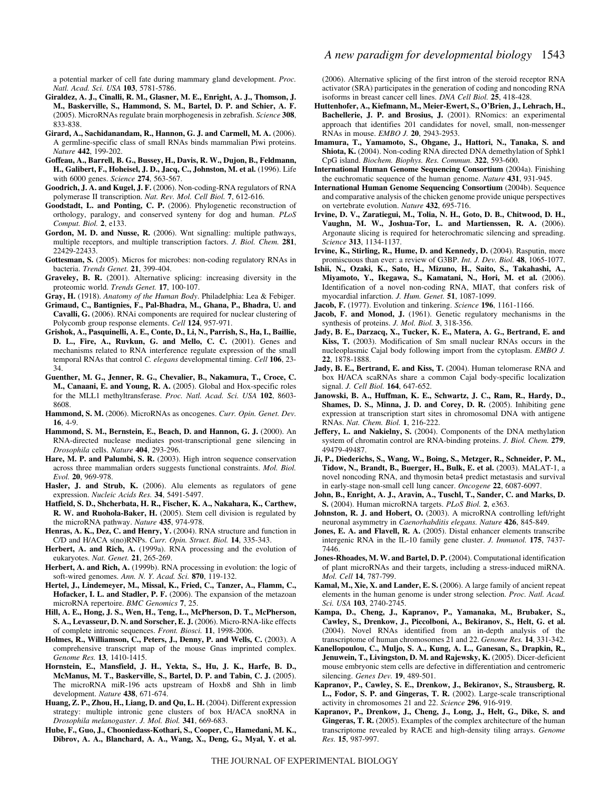a potential marker of cell fate during mammary gland development. *Proc. Natl. Acad. Sci. USA* **103**, 5781-5786.

- **Giraldez, A. J., Cinalli, R. M., Glasner, M. E., Enright, A. J., Thomson, J. M., Baskerville, S., Hammond, S. M., Bartel, D. P. and Schier, A. F.** (2005). MicroRNAs regulate brain morphogenesis in zebrafish. *Science* **308**, 833-838.
- **Girard, A., Sachidanandam, R., Hannon, G. J. and Carmell, M. A.** (2006). A germline-specific class of small RNAs binds mammalian Piwi proteins. *Nature* **442**, 199-202.
- **Goffeau, A., Barrell, B. G., Bussey, H., Davis, R. W., Dujon, B., Feldmann, H., Galibert, F., Hoheisel, J. D., Jacq, C., Johnston, M. et al.** (1996). Life with 6000 genes. *Science* **274**, 563-567.
- **Goodrich, J. A. and Kugel, J. F.** (2006). Non-coding-RNA regulators of RNA polymerase II transcription. *Nat. Rev. Mol. Cell Biol.* **7**, 612-616.
- **Goodstadt, L. and Ponting, C. P.** (2006). Phylogenetic reconstruction of orthology, paralogy, and conserved synteny for dog and human. *PLoS Comput. Biol.* **2**, e133.
- **Gordon, M. D. and Nusse, R.** (2006). Wnt signalling: multiple pathways, multiple receptors, and multiple transcription factors. *J. Biol. Chem.* **281**, 22429-22433.
- **Gottesman, S.** (2005). Micros for microbes: non-coding regulatory RNAs in bacteria. *Trends Genet.* **21**, 399-404.
- **Graveley, B. R.** (2001). Alternative splicing: increasing diversity in the proteomic world. *Trends Genet.* **17**, 100-107.
- **Gray, H.** (1918). *Anatomy of the Human Body*. Philadelphia: Lea & Febiger.
- **Grimaud, C., Bantignies, F., Pal-Bhadra, M., Ghana, P., Bhadra, U. and Cavalli, G.** (2006). RNAi components are required for nuclear clustering of Polycomb group response elements. *Cell* **124**, 957-971.
- **Grishok, A., Pasquinelli, A. E., Conte, D., Li, N., Parrish, S., Ha, I., Baillie, D. L., Fire, A., Ruvkun, G. and Mello, C. C.** (2001). Genes and mechanisms related to RNA interference regulate expression of the small temporal RNAs that control *C. elegans* developmental timing. *Cell* **106**, 23- 34.
- **Guenther, M. G., Jenner, R. G., Chevalier, B., Nakamura, T., Croce, C. M., Canaani, E. and Young, R. A.** (2005). Global and Hox-specific roles for the MLL1 methyltransferase. *Proc. Natl. Acad. Sci. USA* **102**, 8603- 8608.
- **Hammond, S. M.** (2006). MicroRNAs as oncogenes. *Curr. Opin. Genet. Dev.* **16**, 4-9.
- **Hammond, S. M., Bernstein, E., Beach, D. and Hannon, G. J.** (2000). An RNA-directed nuclease mediates post-transcriptional gene silencing in *Drosophila* cells. *Nature* **404**, 293-296.
- **Hare, M. P. and Palumbi, S. R.** (2003). High intron sequence conservation across three mammalian orders suggests functional constraints. *Mol. Biol. Evol.* **20**, 969-978.
- Hasler, J. and Strub, K. (2006). Alu elements as regulators of gene expression. *Nucleic Acids Res.* **34**, 5491-5497.
- **Hatfield, S. D., Shcherbata, H. R., Fischer, K. A., Nakahara, K., Carthew, R. W. and Ruohola-Baker, H.** (2005). Stem cell division is regulated by the microRNA pathway. *Nature* **435**, 974-978.
- **Henras, A. K., Dez, C. and Henry, Y.** (2004). RNA structure and function in C/D and H/ACA s(no)RNPs. *Curr. Opin. Struct. Biol.* **14**, 335-343.
- **Herbert, A. and Rich, A.** (1999a). RNA processing and the evolution of eukaryotes. *Nat. Genet.* **21**, 265-269.
- **Herbert, A. and Rich, A.** (1999b). RNA processing in evolution: the logic of soft-wired genomes. *Ann. N. Y. Acad. Sci.* **870**, 119-132.
- **Hertel, J., Lindemeyer, M., Missal, K., Fried, C., Tanzer, A., Flamm, C., Hofacker, I. L. and Stadler, P. F.** (2006). The expansion of the metazoan microRNA repertoire. *BMC Genomics* **7**, 25.
- **Hill, A. E., Hong, J. S., Wen, H., Teng, L., McPherson, D. T., McPherson, S. A., Levasseur, D. N. and Sorscher, E. J.** (2006). Micro-RNA-like effects of complete intronic sequences. *Front. Biosci.* **11**, 1998-2006.
- **Holmes, R., Williamson, C., Peters, J., Denny, P. and Wells, C.** (2003). A comprehensive transcript map of the mouse Gnas imprinted complex. *Genome Res.* **13**, 1410-1415.
- **Hornstein, E., Mansfield, J. H., Yekta, S., Hu, J. K., Harfe, B. D., McManus, M. T., Baskerville, S., Bartel, D. P. and Tabin, C. J.** (2005). The microRNA miR-196 acts upstream of Hoxb8 and Shh in limb development. *Nature* **438**, 671-674.
- **Huang, Z. P., Zhou, H., Liang, D. and Qu, L. H.** (2004). Different expression strategy: multiple intronic gene clusters of box H/ACA snoRNA in *Drosophila melanogaster*. *J. Mol. Biol.* **341**, 669-683.
- **Hube, F., Guo, J., Chooniedass-Kothari, S., Cooper, C., Hamedani, M. K., Dibrov, A. A., Blanchard, A. A., Wang, X., Deng, G., Myal, Y. et al.**

(2006). Alternative splicing of the first intron of the steroid receptor RNA activator (SRA) participates in the generation of coding and noncoding RNA isoforms in breast cancer cell lines. *DNA Cell Biol.* **25**, 418-428.

- **Huttenhofer, A., Kiefmann, M., Meier-Ewert, S., O'Brien, J., Lehrach, H., Bachellerie, J. P. and Brosius, J.** (2001). RNomics: an experimental approach that identifies 201 candidates for novel, small, non-messenger RNAs in mouse. *EMBO J.* **20**, 2943-2953.
- **Imamura, T., Yamamoto, S., Ohgane, J., Hattori, N., Tanaka, S. and Shiota, K.** (2004). Non-coding RNA directed DNA demethylation of Sphk1 CpG island. *Biochem. Biophys. Res. Commun.* **322**, 593-600.
- **International Human Genome Sequencing Consortium** (2004a). Finishing the euchromatic sequence of the human genome. *Nature* **431**, 931-945.
- **International Human Genome Sequencing Consortium** (2004b). Sequence and comparative analysis of the chicken genome provide unique perspectives on vertebrate evolution. *Nature* **432**, 695-716.
- **Irvine, D. V., Zaratiegui, M., Tolia, N. H., Goto, D. B., Chitwood, D. H., Vaughn, M. W., Joshua-Tor, L. and Martienssen, R. A.** (2006). Argonaute slicing is required for heterochromatic silencing and spreading. *Science* **313**, 1134-1137.
- **Irvine, K., Stirling, R., Hume, D. and Kennedy, D.** (2004). Rasputin, more promiscuous than ever: a review of G3BP. *Int. J. Dev. Biol.* **48**, 1065-1077.
- **Ishii, N., Ozaki, K., Sato, H., Mizuno, H., Saito, S., Takahashi, A., Miyamoto, Y., Ikegawa, S., Kamatani, N., Hori, M. et al.** (2006). Identification of a novel non-coding RNA, MIAT, that confers risk of myocardial infarction. *J. Hum. Genet.* **51**, 1087-1099.
- **Jacob, F.** (1977). Evolution and tinkering. *Science* **196**, 1161-1166.
- **Jacob, F. and Monod, J.** (1961). Genetic regulatory mechanisms in the synthesis of proteins. *J. Mol. Biol.* **3**, 318-356.
- **Jady, B. E., Darzacq, X., Tucker, K. E., Matera, A. G., Bertrand, E. and Kiss, T.** (2003). Modification of Sm small nuclear RNAs occurs in the nucleoplasmic Cajal body following import from the cytoplasm. *EMBO J.* **22**, 1878-1888.
- **Jady, B. E., Bertrand, E. and Kiss, T.** (2004). Human telomerase RNA and box H/ACA scaRNAs share a common Cajal body-specific localization signal. *J. Cell Biol.* **164**, 647-652.
- **Janowski, B. A., Huffman, K. E., Schwartz, J. C., Ram, R., Hardy, D., Shames, D. S., Minna, J. D. and Corey, D. R.** (2005). Inhibiting gene expression at transcription start sites in chromosomal DNA with antigene RNAs. *Nat. Chem. Biol.* **1**, 216-222.
- **Jeffery, L. and Nakielny, S.** (2004). Components of the DNA methylation system of chromatin control are RNA-binding proteins. *J. Biol. Chem.* **279**, 49479-49487.
- **Ji, P., Diederichs, S., Wang, W., Boing, S., Metzger, R., Schneider, P. M., Tidow, N., Brandt, B., Buerger, H., Bulk, E. et al.** (2003). MALAT-1, a novel noncoding RNA, and thymosin beta4 predict metastasis and survival in early-stage non-small cell lung cancer. *Oncogene* **22**, 6087-6097.
- **John, B., Enright, A. J., Aravin, A., Tuschl, T., Sander, C. and Marks, D. S.** (2004). Human microRNA targets. *PLoS Biol.* **2**, e363.
- **Johnston, R. J. and Hobert, O.** (2003). A microRNA controlling left/right neuronal asymmetry in *Caenorhabditis elegans. Nature* **426**, 845-849.
- **Jones, E. A. and Flavell, R. A.** (2005). Distal enhancer elements transcribe intergenic RNA in the IL-10 family gene cluster. *J. Immunol.* **175**, 7437- 7446.
- **Jones-Rhoades, M. W. and Bartel, D. P.** (2004). Computational identification of plant microRNAs and their targets, including a stress-induced miRNA. *Mol. Cell* **14**, 787-799.
- **Kamal, M., Xie, X. and Lander, E. S.** (2006). A large family of ancient repeat elements in the human genome is under strong selection. *Proc. Natl. Acad. Sci. USA* **103**, 2740-2745.
- **Kampa, D., Cheng, J., Kapranov, P., Yamanaka, M., Brubaker, S., Cawley, S., Drenkow, J., Piccolboni, A., Bekiranov, S., Helt, G. et al.** (2004). Novel RNAs identified from an in-depth analysis of the transcriptome of human chromosomes 21 and 22. *Genome Res.* **14**, 331-342.
- **Kanellopoulou, C., Muljo, S. A., Kung, A. L., Ganesan, S., Drapkin, R., Jenuwein, T., Livingston, D. M. and Rajewsky, K.** (2005). Dicer-deficient mouse embryonic stem cells are defective in differentiation and centromeric silencing. *Genes Dev.* **19**, 489-501.
- **Kapranov, P., Cawley, S. E., Drenkow, J., Bekiranov, S., Strausberg, R. L., Fodor, S. P. and Gingeras, T. R.** (2002). Large-scale transcriptional activity in chromosomes 21 and 22. *Science* **296**, 916-919.
- **Kapranov, P., Drenkow, J., Cheng, J., Long, J., Helt, G., Dike, S. and Gingeras, T. R.** (2005). Examples of the complex architecture of the human transcriptome revealed by RACE and high-density tiling arrays. *Genome Res.* **15**, 987-997.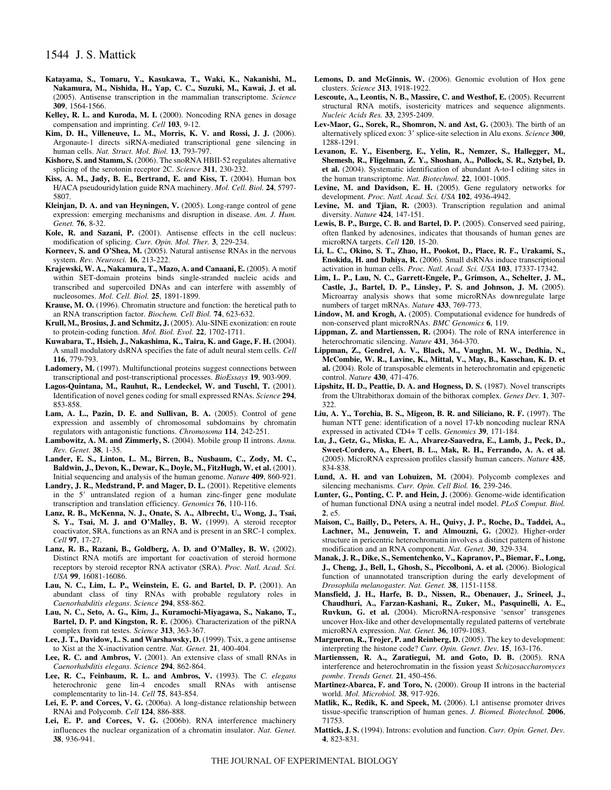- **Katayama, S., Tomaru, Y., Kasukawa, T., Waki, K., Nakanishi, M., Nakamura, M., Nishida, H., Yap, C. C., Suzuki, M., Kawai, J. et al.** (2005). Antisense transcription in the mammalian transcriptome. *Science* **309**, 1564-1566.
- **Kelley, R. L. and Kuroda, M. I.** (2000). Noncoding RNA genes in dosage compensation and imprinting. *Cell* **103**, 9-12.
- **Kim, D. H., Villeneuve, L. M., Morris, K. V. and Rossi, J. J.** (2006). Argonaute-1 directs siRNA-mediated transcriptional gene silencing in human cells. *Nat. Struct. Mol. Biol.* **13**, 793-797.
- **Kishore, S. and Stamm, S.** (2006). The snoRNA HBII-52 regulates alternative splicing of the serotonin receptor 2C. *Science* **311**, 230-232.
- **Kiss, A. M., Jady, B. E., Bertrand, E. and Kiss, T.** (2004). Human box H/ACA pseudouridylation guide RNA machinery. *Mol. Cell. Biol.* **24**, 5797- 5807.
- **Kleinjan, D. A. and van Heyningen, V.** (2005). Long-range control of gene expression: emerging mechanisms and disruption in disease. *Am. J. Hum. Genet.* **76**, 8-32.
- **Kole, R. and Sazani, P.** (2001). Antisense effects in the cell nucleus: modification of splicing. *Curr. Opin. Mol. Ther.* **3**, 229-234.
- **Korneev, S. and O'Shea, M.** (2005). Natural antisense RNAs in the nervous system. *Rev. Neurosci.* **16**, 213-222.
- **Krajewski, W. A., Nakamura, T., Mazo, A. and Canaani, E.** (2005). A motif within SET-domain proteins binds single-stranded nucleic acids and transcribed and supercoiled DNAs and can interfere with assembly of nucleosomes. *Mol. Cell. Biol.* **25**, 1891-1899.
- **Krause, M. O.** (1996). Chromatin structure and function: the heretical path to an RNA transcription factor. *Biochem. Cell Biol.* **74**, 623-632.
- **Krull, M., Brosius, J. and Schmitz, J.** (2005). Alu-SINE exonization: en route to protein-coding function. *Mol. Biol. Evol.* **22**, 1702-1711.
- **Kuwabara, T., Hsieh, J., Nakashima, K., Taira, K. and Gage, F. H.** (2004). A small modulatory dsRNA specifies the fate of adult neural stem cells. *Cell* **116**, 779-793.
- Ladomery, M. (1997). Multifunctional proteins suggest connections between transcriptional and post-transcriptional processes. *BioEssays* **19**, 903-909.
- **Lagos-Quintana, M., Rauhut, R., Lendeckel, W. and Tuschl, T.** (2001). Identification of novel genes coding for small expressed RNAs. *Science* **294**, 853-858.
- **Lam, A. L., Pazin, D. E. and Sullivan, B. A.** (2005). Control of gene expression and assembly of chromosomal subdomains by chromatin regulators with antagonistic functions. *Chromosoma* **114**, 242-251.
- **Lambowitz, A. M. and Zimmerly, S.** (2004). Mobile group II introns. *Annu. Rev. Genet.* **38**, 1-35.
- **Lander, E. S., Linton, L. M., Birren, B., Nusbaum, C., Zody, M. C., Baldwin, J., Devon, K., Dewar, K., Doyle, M., FitzHugh, W. et al.** (2001). Initial sequencing and analysis of the human genome. *Nature* **409**, 860-921.
- Landry, J. R., Medstrand, P. and Mager, D. L. (2001). Repetitive elements in the 5' untranslated region of a human zinc-finger gene modulate transcription and translation efficiency. *Genomics* **76**, 110-116.
- **Lanz, R. B., McKenna, N. J., Onate, S. A., Albrecht, U., Wong, J., Tsai, S. Y., Tsai, M. J. and O'Malley, B. W.** (1999). A steroid receptor coactivator, SRA, functions as an RNA and is present in an SRC-1 complex. *Cell* **97**, 17-27.
- **Lanz, R. B., Razani, B., Goldberg, A. D. and O'Malley, B. W.** (2002). Distinct RNA motifs are important for coactivation of steroid hormone receptors by steroid receptor RNA activator (SRA). *Proc. Natl. Acad. Sci. USA* **99**, 16081-16086.
- **Lau, N. C., Lim, L. P., Weinstein, E. G. and Bartel, D. P.** (2001). An abundant class of tiny RNAs with probable regulatory roles in *Caenorhabditis elegans*. *Science* **294**, 858-862.
- **Lau, N. C., Seto, A. G., Kim, J., Kuramochi-Miyagawa, S., Nakano, T., Bartel, D. P. and Kingston, R. E.** (2006). Characterization of the piRNA complex from rat testes. *Science* **313**, 363-367.
- **Lee, J. T., Davidow, L. S. and Warshawsky, D.** (1999). Tsix, a gene antisense to Xist at the X-inactivation centre. *Nat. Genet.* **21**, 400-404.
- **Lee, R. C. and Ambros, V.** (2001). An extensive class of small RNAs in *Caenorhabditis elegans*. *Science* **294**, 862-864.
- **Lee, R. C., Feinbaum, R. L. and Ambros, V.** (1993). The *C. elegans* heterochronic gene lin-4 encodes small RNAs with antisense complementarity to lin-14. *Cell* **75**, 843-854.
- **Lei, E. P. and Corces, V. G.** (2006a). A long-distance relationship between RNAi and Polycomb. *Cell* **124**, 886-888.
- **Lei, E. P. and Corces, V. G.** (2006b). RNA interference machinery influences the nuclear organization of a chromatin insulator. *Nat. Genet.* **38**, 936-941.
- **Lemons, D. and McGinnis, W.** (2006). Genomic evolution of Hox gene clusters. *Science* **313**, 1918-1922.
- **Lescoute, A., Leontis, N. B., Massire, C. and Westhof, E.** (2005). Recurrent structural RNA motifs, isostericity matrices and sequence alignments. *Nucleic Acids Res.* **33**, 2395-2409.
- **Lev-Maor, G., Sorek, R., Shomron, N. and Ast, G.** (2003). The birth of an alternatively spliced exon: 3' splice-site selection in Alu exons. *Science* 300, 1288-1291.
- **Levanon, E. Y., Eisenberg, E., Yelin, R., Nemzer, S., Hallegger, M., Shemesh, R., Fligelman, Z. Y., Shoshan, A., Pollock, S. R., Sztybel, D. et al.** (2004). Systematic identification of abundant A-to-I editing sites in the human transcriptome. *Nat. Biotechnol.* **22**, 1001-1005.
- **Levine, M. and Davidson, E. H.** (2005). Gene regulatory networks for development. *Proc. Natl. Acad. Sci. USA* **102**, 4936-4942.
- **Levine, M. and Tjian, R.** (2003). Transcription regulation and animal diversity. *Nature* **424**, 147-151.
- **Lewis, B. P., Burge, C. B. and Bartel, D. P.** (2005). Conserved seed pairing, often flanked by adenosines, indicates that thousands of human genes are microRNA targets. *Cell* **120**, 15-20.
- **Li, L. C., Okino, S. T., Zhao, H., Pookot, D., Place, R. F., Urakami, S., Enokida, H. and Dahiya, R.** (2006). Small dsRNAs induce transcriptional activation in human cells. *Proc. Natl. Acad. Sci. USA* **103**, 17337-17342.
- **Lim, L. P., Lau, N. C., Garrett-Engele, P., Grimson, A., Schelter, J. M., Castle, J., Bartel, D. P., Linsley, P. S. and Johnson, J. M.** (2005). Microarray analysis shows that some microRNAs downregulate large numbers of target mRNAs. *Nature* **433**, 769-773.
- **Lindow, M. and Krogh, A.** (2005). Computational evidence for hundreds of non-conserved plant microRNAs. *BMC Genomics* **6**, 119.
- **Lippman, Z. and Martienssen, R.** (2004). The role of RNA interference in heterochromatic silencing. *Nature* **431**, 364-370.
- **Lippman, Z., Gendrel, A. V., Black, M., Vaughn, M. W., Dedhia, N., McCombie, W. R., Lavine, K., Mittal, V., May, B., Kasschau, K. D. et al.** (2004). Role of transposable elements in heterochromatin and epigenetic control. *Nature* **430**, 471-476.
- **Lipshitz, H. D., Peattie, D. A. and Hogness, D. S.** (1987). Novel transcripts from the Ultrabithorax domain of the bithorax complex. *Genes Dev.* **1**, 307- 322
- **Liu, A. Y., Torchia, B. S., Migeon, B. R. and Siliciano, R. F.** (1997). The human NTT gene: identification of a novel 17-kb noncoding nuclear RNA expressed in activated CD4+ T cells. *Genomics* **39**, 171-184.
- **Lu, J., Getz, G., Miska, E. A., Alvarez-Saavedra, E., Lamb, J., Peck, D., Sweet-Cordero, A., Ebert, B. L., Mak, R. H., Ferrando, A. A. et al.** (2005). MicroRNA expression profiles classify human cancers. *Nature* **435**, 834-838.
- **Lund, A. H. and van Lohuizen, M.** (2004). Polycomb complexes and silencing mechanisms. *Curr. Opin. Cell Biol.* **16**, 239-246.
- **Lunter, G., Ponting, C. P. and Hein, J.** (2006). Genome-wide identification of human functional DNA using a neutral indel model. *PLoS Comput. Biol.* **2**, e5.
- **Maison, C., Bailly, D., Peters, A. H., Quivy, J. P., Roche, D., Taddei, A., Lachner, M., Jenuwein, T. and Almouzni, G.** (2002). Higher-order structure in pericentric heterochromatin involves a distinct pattern of histone modification and an RNA component. *Nat. Genet.* **30**, 329-334.
- **Manak, J. R., Dike, S., Sementchenko, V., Kapranov, P., Biemar, F., Long, J., Cheng, J., Bell, I., Ghosh, S., Piccolboni, A. et al.** (2006). Biological function of unannotated transcription during the early development of *Drosophila melanogaster. Nat. Genet.* **38**, 1151-1158.
- **Mansfield, J. H., Harfe, B. D., Nissen, R., Obenauer, J., Srineel, J., Chaudhuri, A., Farzan-Kashani, R., Zuker, M., Pasquinelli, A. E., Ruvkun, G. et al.** (2004). MicroRNA-responsive 'sensor' transgenes uncover Hox-like and other developmentally regulated patterns of vertebrate microRNA expression. *Nat. Genet.* **36**, 1079-1083.
- **Margueron, R., Trojer, P. and Reinberg, D.** (2005). The key to development: interpreting the histone code? *Curr. Opin. Genet. Dev.* **15**, 163-176.
- **Martienssen, R. A., Zaratiegui, M. and Goto, D. B.** (2005). RNA interference and heterochromatin in the fission yeast *Schizosaccharomyces pombe*. *Trends Genet.* **21**, 450-456.
- **Martinez-Abarca, F. and Toro, N.** (2000). Group II introns in the bacterial world. *Mol. Microbiol.* **38**, 917-926.
- **Matlik, K., Redik, K. and Speek, M.** (2006). L1 antisense promoter drives tissue-specific transcription of human genes. *J. Biomed. Biotechnol.* **2006**, 71753.
- **Mattick, J. S.** (1994). Introns: evolution and function. *Curr. Opin. Genet. Dev.* **4**, 823-831.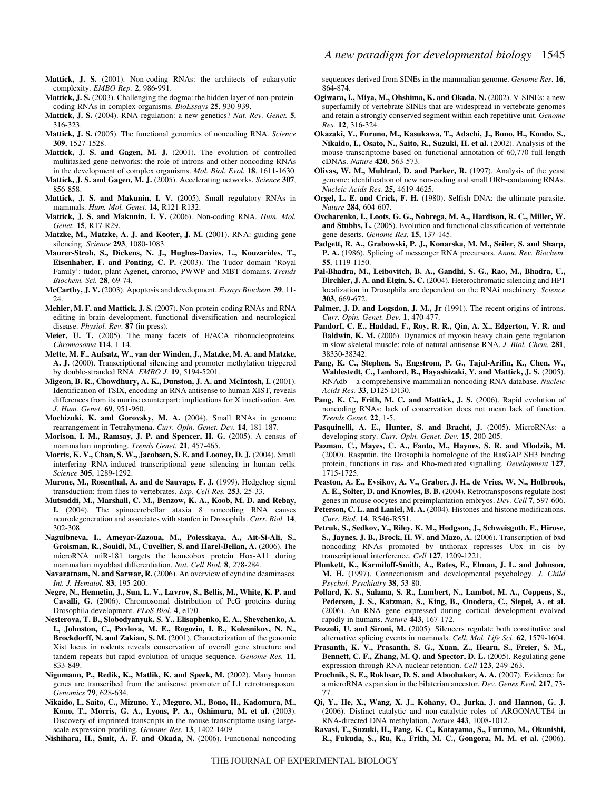- **Mattick, J. S.** (2003). Challenging the dogma: the hidden layer of non-proteincoding RNAs in complex organisms. *BioEssays* **25**, 930-939.
- **Mattick, J. S.** (2004). RNA regulation: a new genetics? *Nat. Rev. Genet.* **5**, 316-323.
- **Mattick, J. S.** (2005). The functional genomics of noncoding RNA. *Science* **309**, 1527-1528.
- **Mattick, J. S. and Gagen, M. J.** (2001). The evolution of controlled multitasked gene networks: the role of introns and other noncoding RNAs in the development of complex organisms. *Mol. Biol. Evol.* **18**, 1611-1630.
- **Mattick, J. S. and Gagen, M. J.** (2005). Accelerating networks. *Science* **307**, 856-858.
- **Mattick, J. S. and Makunin, I. V.** (2005). Small regulatory RNAs in mammals. *Hum. Mol. Genet.* **14**, R121-R132.
- **Mattick, J. S. and Makunin, I. V.** (2006). Non-coding RNA. *Hum. Mol. Genet.* **15**, R17-R29.
- **Matzke, M., Matzke, A. J. and Kooter, J. M.** (2001). RNA: guiding gene silencing. *Science* **293**, 1080-1083.
- **Maurer-Stroh, S., Dickens, N. J., Hughes-Davies, L., Kouzarides, T., Eisenhaber, F. and Ponting, C. P.** (2003). The Tudor domain 'Royal Family': tudor, plant Agenet, chromo, PWWP and MBT domains. *Trends Biochem. Sci.* **28**, 69-74.
- **McCarthy, J. V.** (2003). Apoptosis and development. *Essays Biochem.* **39**, 11- 24.
- **Mehler, M. F. and Mattick, J. S.** (2007). Non-protein-coding RNAs and RNA editing in brain development, functional diversification and neurological disease. *Physiol. Rev*. **87** (in press).
- **Meier, U. T.** (2005). The many facets of H/ACA ribonucleoproteins. *Chromosoma* **114**, 1-14.
- **Mette, M. F., Aufsatz, W., van der Winden, J., Matzke, M. A. and Matzke, A. J.** (2000). Transcriptional silencing and promoter methylation triggered by double-stranded RNA. *EMBO J.* **19**, 5194-5201.
- **Migeon, B. R., Chowdhury, A. K., Dunston, J. A. and McIntosh, I.** (2001). Identification of TSIX, encoding an RNA antisense to human XIST, reveals differences from its murine counterpart: implications for X inactivation. *Am. J. Hum. Genet.* **69**, 951-960.
- **Mochizuki, K. and Gorovsky, M. A.** (2004). Small RNAs in genome rearrangement in Tetrahymena. *Curr. Opin. Genet. Dev.* **14**, 181-187.
- **Morison, I. M., Ramsay, J. P. and Spencer, H. G.** (2005). A census of mammalian imprinting. *Trends Genet.* **21**, 457-465.
- **Morris, K. V., Chan, S. W., Jacobsen, S. E. and Looney, D. J.** (2004). Small interfering RNA-induced transcriptional gene silencing in human cells. *Science* **305**, 1289-1292.
- **Murone, M., Rosenthal, A. and de Sauvage, F. J.** (1999). Hedgehog signal transduction: from flies to vertebrates. *Exp. Cell Res.* **253**, 25-33.
- **Mutsuddi, M., Marshall, C. M., Benzow, K. A., Koob, M. D. and Rebay, I.** (2004). The spinocerebellar ataxia 8 noncoding RNA causes neurodegeneration and associates with staufen in Drosophila. *Curr. Biol.* **14**, 302-308.
- **Naguibneva, I., Ameyar-Zazoua, M., Polesskaya, A., Ait-Si-Ali, S., Groisman, R., Souidi, M., Cuvellier, S. and Harel-Bellan, A.** (2006). The microRNA miR-181 targets the homeobox protein Hox-A11 during mammalian myoblast differentiation. *Nat. Cell Biol.* **8**, 278-284.
- **Navaratnam, N. and Sarwar, R.** (2006). An overview of cytidine deaminases. *Int. J. Hematol.* **83**, 195-200.
- **Negre, N., Hennetin, J., Sun, L. V., Lavrov, S., Bellis, M., White, K. P. and Cavalli, G.** (2006). Chromosomal distribution of PcG proteins during Drosophila development. *PLoS Biol*. **4**, e170.
- **Nesterova, T. B., Slobodyanyuk, S. Y., Elisaphenko, E. A., Shevchenko, A. I., Johnston, C., Pavlova, M. E., Rogozin, I. B., Kolesnikov, N. N., Brockdorff, N. and Zakian, S. M.** (2001). Characterization of the genomic Xist locus in rodents reveals conservation of overall gene structure and tandem repeats but rapid evolution of unique sequence. *Genome Res.* **11**, 833-849.
- **Nigumann, P., Redik, K., Matlik, K. and Speek, M.** (2002). Many human genes are transcribed from the antisense promoter of L1 retrotransposon. *Genomics* **79**, 628-634.
- **Nikaido, I., Saito, C., Mizuno, Y., Meguro, M., Bono, H., Kadomura, M., Kono, T., Morris, G. A., Lyons, P. A., Oshimura, M. et al.** (2003). Discovery of imprinted transcripts in the mouse transcriptome using largescale expression profiling. *Genome Res.* **13**, 1402-1409.

**Nishihara, H., Smit, A. F. and Okada, N.** (2006). Functional noncoding

sequences derived from SINEs in the mammalian genome. *Genome Res*. **16**, 864-874.

- **Ogiwara, I., Miya, M., Ohshima, K. and Okada, N.** (2002). V-SINEs: a new superfamily of vertebrate SINEs that are widespread in vertebrate genomes and retain a strongly conserved segment within each repetitive unit. *Genome Res.* **12**, 316-324.
- **Okazaki, Y., Furuno, M., Kasukawa, T., Adachi, J., Bono, H., Kondo, S., Nikaido, I., Osato, N., Saito, R., Suzuki, H. et al.** (2002). Analysis of the mouse transcriptome based on functional annotation of 60,770 full-length cDNAs. *Nature* **420**, 563-573.
- **Olivas, W. M., Muhlrad, D. and Parker, R.** (1997). Analysis of the yeast genome: identification of new non-coding and small ORF-containing RNAs. *Nucleic Acids Res.* **25**, 4619-4625.
- **Orgel, L. E. and Crick, F. H.** (1980). Selfish DNA: the ultimate parasite. *Nature* **284**, 604-607.
- **Ovcharenko, I., Loots, G. G., Nobrega, M. A., Hardison, R. C., Miller, W. and Stubbs, L.** (2005). Evolution and functional classification of vertebrate gene deserts. *Genome Res.* **15**, 137-145.
- **Padgett, R. A., Grabowski, P. J., Konarska, M. M., Seiler, S. and Sharp, P. A.** (1986). Splicing of messenger RNA precursors. *Annu. Rev. Biochem.* **55**, 1119-1150.
- **Pal-Bhadra, M., Leibovitch, B. A., Gandhi, S. G., Rao, M., Bhadra, U., Birchler, J. A. and Elgin, S. C.** (2004). Heterochromatic silencing and HP1 localization in Drosophila are dependent on the RNAi machinery. *Science* **303**, 669-672.
- Palmer, J. D. and Logsdon, J. M., Jr (1991). The recent origins of introns. *Curr. Opin. Genet. Dev.* **1**, 470-477.
- **Pandorf, C. E., Haddad, F., Roy, R. R., Qin, A. X., Edgerton, V. R. and Baldwin, K. M.** (2006). Dynamics of myosin heavy chain gene regulation in slow skeletal muscle: role of natural antisense RNA. *J. Biol. Chem.* **281**, 38330-38342.
- **Pang, K. C., Stephen, S., Engstrom, P. G., Tajul-Arifin, K., Chen, W., Wahlestedt, C., Lenhard, B., Hayashizaki, Y. and Mattick, J. S.** (2005). RNAdb – a comprehensive mammalian noncoding RNA database. *Nucleic Acids Res.* **33**, D125-D130.
- Pang, K. C., Frith, M. C. and Mattick, J. S. (2006). Rapid evolution of noncoding RNAs: lack of conservation does not mean lack of function. *Trends Genet.* **22**, 1-5.
- **Pasquinelli, A. E., Hunter, S. and Bracht, J.** (2005). MicroRNAs: a developing story. *Curr. Opin. Genet. Dev.* **15**, 200-205.
- **Pazman, C., Mayes, C. A., Fanto, M., Haynes, S. R. and Mlodzik, M.** (2000). Rasputin, the Drosophila homologue of the RasGAP SH3 binding protein, functions in ras- and Rho-mediated signalling. *Development* **127**, 1715-1725.
- **Peaston, A. E., Evsikov, A. V., Graber, J. H., de Vries, W. N., Holbrook, A. E., Solter, D. and Knowles, B. B.** (2004). Retrotransposons regulate host genes in mouse oocytes and preimplantation embryos. *Dev. Cell* **7**, 597-606.

Peterson, C. L. and Laniel, M. A. (2004). Histones and histone modifications. *Curr. Biol.* **14**, R546-R551.

- **Petruk, S., Sedkov, Y., Riley, K. M., Hodgson, J., Schweisguth, F., Hirose, S., Jaynes, J. B., Brock, H. W. and Mazo, A.** (2006). Transcription of bxd noncoding RNAs promoted by trithorax represses Ubx in cis by transcriptional interference. *Cell* **127**, 1209-1221.
- **Plunkett, K., Karmiloff-Smith, A., Bates, E., Elman, J. L. and Johnson, M. H.** (1997). Connectionism and developmental psychology. *J. Child Psychol. Psychiatry* **38**, 53-80.
- **Pollard, K. S., Salama, S. R., Lambert, N., Lambot, M. A., Coppens, S., Pedersen, J. S., Katzman, S., King, B., Onodera, C., Siepel, A. et al.** (2006). An RNA gene expressed during cortical development evolved rapidly in humans. *Nature* **443**, 167-172.
- Pozzoli, U. and Sironi, M. (2005). Silencers regulate both constitutive and alternative splicing events in mammals. *Cell. Mol. Life Sci.* **62**, 1579-1604.
- **Prasanth, K. V., Prasanth, S. G., Xuan, Z., Hearn, S., Freier, S. M., Bennett, C. F., Zhang, M. Q. and Spector, D. L.** (2005). Regulating gene expression through RNA nuclear retention. *Cell* **123**, 249-263.
- **Prochnik, S. E., Rokhsar, D. S. and Aboobaker, A. A.** (2007). Evidence for a microRNA expansion in the bilaterian ancestor. *Dev. Genes Evol.* **217**, 73- 77.
- **Qi, Y., He, X., Wang, X. J., Kohany, O., Jurka, J. and Hannon, G. J.** (2006). Distinct catalytic and non-catalytic roles of ARGONAUTE4 in RNA-directed DNA methylation. *Nature* **443**, 1008-1012.
- **Ravasi, T., Suzuki, H., Pang, K. C., Katayama, S., Furuno, M., Okunishi, R., Fukuda, S., Ru, K., Frith, M. C., Gongora, M. M. et al.** (2006).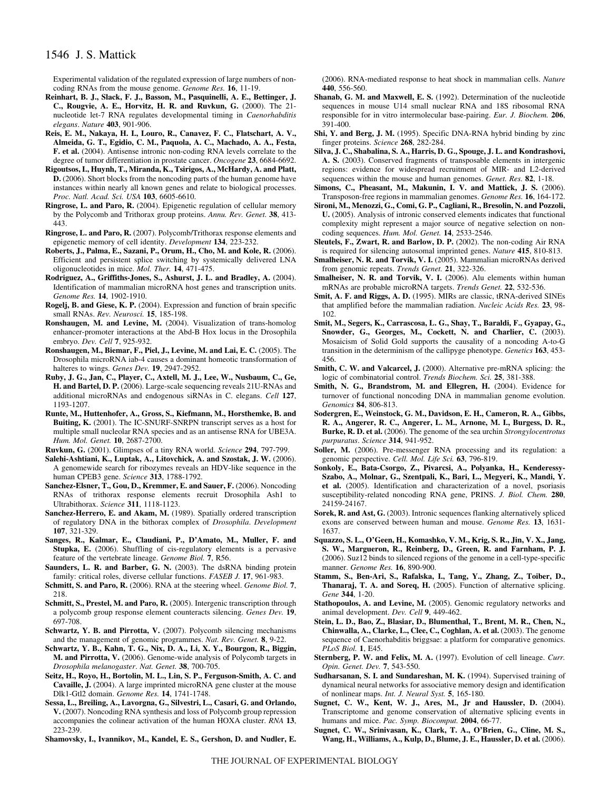Experimental validation of the regulated expression of large numbers of noncoding RNAs from the mouse genome. *Genome Res.* **16**, 11-19.

- **Reinhart, B. J., Slack, F. J., Basson, M., Pasquinelli, A. E., Bettinger, J. C., Rougvie, A. E., Horvitz, H. R. and Ruvkun, G.** (2000). The 21 nucleotide let-7 RNA regulates developmental timing in *Caenorhabditis elegans*. *Nature* **403**, 901-906.
- **Reis, E. M., Nakaya, H. I., Louro, R., Canavez, F. C., Flatschart, A. V., Almeida, G. T., Egidio, C. M., Paquola, A. C., Machado, A. A., Festa, F. et al.** (2004). Antisense intronic non-coding RNA levels correlate to the degree of tumor differentiation in prostate cancer. *Oncogene* **23**, 6684-6692.
- **Rigoutsos, I., Huynh, T., Miranda, K., Tsirigos, A., McHardy, A. and Platt, D.** (2006). Short blocks from the noncoding parts of the human genome have instances within nearly all known genes and relate to biological processes. *Proc. Natl. Acad. Sci. USA* **103**, 6605-6610.
- **Ringrose, L. and Paro, R.** (2004). Epigenetic regulation of cellular memory by the Polycomb and Trithorax group proteins. *Annu. Rev. Genet.* **38**, 413- 443.
- **Ringrose, L. and Paro, R.** (2007). Polycomb/Trithorax response elements and epigenetic memory of cell identity. *Development* **134**, 223-232.
- **Roberts, J., Palma, E., Sazani, P., Orum, H., Cho, M. and Kole, R.** (2006). Efficient and persistent splice switching by systemically delivered LNA oligonucleotides in mice. *Mol. Ther.* **14**, 471-475.
- **Rodriguez, A., Griffiths-Jones, S., Ashurst, J. L. and Bradley, A.** (2004). Identification of mammalian microRNA host genes and transcription units. *Genome Res.* **14**, 1902-1910.
- **Rogelj, B. and Giese, K. P.** (2004). Expression and function of brain specific small RNAs. *Rev. Neurosci.* **15**, 185-198.
- **Ronshaugen, M. and Levine, M.** (2004). Visualization of trans-homolog enhancer-promoter interactions at the Abd-B Hox locus in the Drosophila embryo. *Dev. Cell* **7**, 925-932.
- **Ronshaugen, M., Biemar, F., Piel, J., Levine, M. and Lai, E. C.** (2005). The Drosophila microRNA iab-4 causes a dominant homeotic transformation of halteres to wings. *Genes Dev.* **19**, 2947-2952.
- **Ruby, J. G., Jan, C., Player, C., Axtell, M. J., Lee, W., Nusbaum, C., Ge, H. and Bartel, D. P.** (2006). Large-scale sequencing reveals 21U-RNAs and additional microRNAs and endogenous siRNAs in C. elegans. *Cell* **127**, 1193-1207.
- **Runte, M., Huttenhofer, A., Gross, S., Kiefmann, M., Horsthemke, B. and Buiting, K.** (2001). The IC-SNURF-SNRPN transcript serves as a host for multiple small nucleolar RNA species and as an antisense RNA for UBE3A. *Hum. Mol. Genet.* **10**, 2687-2700.
- **Ruvkun, G.** (2001). Glimpses of a tiny RNA world. *Science* **294**, 797-799.
- **Salehi-Ashtiani, K., Luptak, A., Litovchick, A. and Szostak, J. W.** (2006). A genomewide search for ribozymes reveals an HDV-like sequence in the human CPEB3 gene. *Science* **313**, 1788-1792.
- **Sanchez-Elsner, T., Gou, D., Kremmer, E. and Sauer, F.** (2006). Noncoding RNAs of trithorax response elements recruit Drosophila Ash1 to Ultrabithorax. *Science* **311**, 1118-1123.
- **Sanchez-Herrero, E. and Akam, M.** (1989). Spatially ordered transcription of regulatory DNA in the bithorax complex of *Drosophila*. *Development* **107**, 321-329.
- **Sanges, R., Kalmar, E., Claudiani, P., D'Amato, M., Muller, F. and Stupka, E.** (2006). Shuffling of cis-regulatory elements is a pervasive feature of the vertebrate lineage. *Genome Biol.* **7**, R56.
- **Saunders, L. R. and Barber, G. N.** (2003). The dsRNA binding protein family: critical roles, diverse cellular functions. *FASEB J.* **17**, 961-983.
- **Schmitt, S. and Paro, R.** (2006). RNA at the steering wheel. *Genome Biol.* **7**, 218.
- **Schmitt, S., Prestel, M. and Paro, R.** (2005). Intergenic transcription through a polycomb group response element counteracts silencing. *Genes Dev.* **19**, 697-708.
- **Schwartz, Y. B. and Pirrotta, V.** (2007). Polycomb silencing mechanisms and the management of genomic programmes. *Nat. Rev. Genet.* **8**, 9-22.
- **Schwartz, Y. B., Kahn, T. G., Nix, D. A., Li, X. Y., Bourgon, R., Biggin, M. and Pirrotta, V.** (2006). Genome-wide analysis of Polycomb targets in *Drosophila melanogaster*. *Nat. Genet.* **38**, 700-705.
- **Seitz, H., Royo, H., Bortolin, M. L., Lin, S. P., Ferguson-Smith, A. C. and Cavaille, J.** (2004). A large imprinted microRNA gene cluster at the mouse Dlk1-Gtl2 domain. *Genome Res.* **14**, 1741-1748.
- **Sessa, L., Breiling, A., Lavorgna, G., Silvestri, L., Casari, G. and Orlando, V.** (2007). Noncoding RNA synthesis and loss of Polycomb group repression accompanies the colinear activation of the human HOXA cluster. *RNA* **13**, 223-239.

**Shamovsky, I., Ivannikov, M., Kandel, E. S., Gershon, D. and Nudler, E.**

(2006). RNA-mediated response to heat shock in mammalian cells. *Nature* **440**, 556-560.

- **Shanab, G. M. and Maxwell, E. S.** (1992). Determination of the nucleotide sequences in mouse U14 small nuclear RNA and 18S ribosomal RNA responsible for in vitro intermolecular base-pairing. *Eur. J. Biochem.* **206**, 391-400.
- **Shi, Y. and Berg, J. M.** (1995). Specific DNA-RNA hybrid binding by zinc finger proteins. *Science* **268**, 282-284.
- **Silva, J. C., Shabalina, S. A., Harris, D. G., Spouge, J. L. and Kondrashovi, A. S.** (2003). Conserved fragments of transposable elements in intergenic regions: evidence for widespread recruitment of MIR- and L2-derived sequences within the mouse and human genomes. *Genet. Res.* **82**, 1-18.
- **Simons, C., Pheasant, M., Makunin, I. V. and Mattick, J. S.** (2006). Transposon-free regions in mammalian genomes. *Genome Res.* **16**, 164-172.
- **Sironi, M., Menozzi, G., Comi, G. P., Cagliani, R., Bresolin, N. and Pozzoli, U.** (2005). Analysis of intronic conserved elements indicates that functional complexity might represent a major source of negative selection on noncoding sequences. *Hum. Mol. Genet.* **14**, 2533-2546.
- **Sleutels, F., Zwart, R. and Barlow, D. P.** (2002). The non-coding Air RNA is required for silencing autosomal imprinted genes. *Nature* **415**, 810-813.
- **Smalheiser, N. R. and Torvik, V. I.** (2005). Mammalian microRNAs derived from genomic repeats. *Trends Genet.* **21**, 322-326.
- **Smalheiser, N. R. and Torvik, V. I.** (2006). Alu elements within human mRNAs are probable microRNA targets. *Trends Genet.* **22**, 532-536.
- **Smit, A. F. and Riggs, A. D.** (1995). MIRs are classic, tRNA-derived SINEs that amplified before the mammalian radiation. *Nucleic Acids Res.* **23**, 98- 102.
- **Smit, M., Segers, K., Carrascosa, L. G., Shay, T., Baraldi, F., Gyapay, G., Snowder, G., Georges, M., Cockett, N. and Charlier, C.** (2003). Mosaicism of Solid Gold supports the causality of a noncoding A-to-G transition in the determinism of the callipyge phenotype. *Genetics* **163**, 453- 456.
- **Smith, C. W. and Valcarcel, J.** (2000). Alternative pre-mRNA splicing: the logic of combinatorial control. *Trends Biochem. Sci.* **25**, 381-388.
- **Smith, N. G., Brandstrom, M. and Ellegren, H.** (2004). Evidence for turnover of functional noncoding DNA in mammalian genome evolution. *Genomics* **84**, 806-813.
- **Sodergren, E., Weinstock, G. M., Davidson, E. H., Cameron, R. A., Gibbs, R. A., Angerer, R. C., Angerer, L. M., Arnone, M. I., Burgess, D. R., Burke, R. D. et al.** (2006). The genome of the sea urchin *Strongylocentrotus purpuratus*. *Science* **314**, 941-952.
- **Soller, M.** (2006). Pre-messenger RNA processing and its regulation: a genomic perspective. *Cell. Mol. Life Sci.* **63**, 796-819.
- **Sonkoly, E., Bata-Csorgo, Z., Pivarcsi, A., Polyanka, H., Kenderessy-Szabo, A., Molnar, G., Szentpali, K., Bari, L., Megyeri, K., Mandi, Y. et al.** (2005). Identification and characterization of a novel, psoriasis susceptibility-related noncoding RNA gene, PRINS. *J. Biol. Chem.* **280**, 24159-24167.
- **Sorek, R. and Ast, G.** (2003). Intronic sequences flanking alternatively spliced exons are conserved between human and mouse. *Genome Res.* **13**, 1631- 1637.
- **Squazzo, S. L., O'Geen, H., Komashko, V. M., Krig, S. R., Jin, V. X., Jang, S. W., Margueron, R., Reinberg, D., Green, R. and Farnham, P. J.** (2006). Suz12 binds to silenced regions of the genome in a cell-type-specific manner. *Genome Res.* **16**, 890-900.
- **Stamm, S., Ben-Ari, S., Rafalska, I., Tang, Y., Zhang, Z., Toiber, D., Thanaraj, T. A. and Soreq, H.** (2005). Function of alternative splicing. *Gene* **344**, 1-20.
- **Stathopoulos, A. and Levine, M.** (2005). Genomic regulatory networks and animal development. *Dev. Cell* **9**, 449-462.
- **Stein, L. D., Bao, Z., Blasiar, D., Blumenthal, T., Brent, M. R., Chen, N., Chinwalla, A., Clarke, L., Clee, C., Coghlan, A. et al.** (2003). The genome sequence of Caenorhabditis briggsae: a platform for comparative genomics. *PLoS Biol.* **1**, E45.
- **Sternberg, P. W. and Felix, M. A.** (1997). Evolution of cell lineage. *Curr. Opin. Genet. Dev.* **7**, 543-550.
- **Sudharsanan, S. I. and Sundareshan, M. K.** (1994). Supervised training of dynamical neural networks for associative memory design and identification of nonlinear maps. *Int. J. Neural Syst.* **5**, 165-180.
- **Sugnet, C. W., Kent, W. J., Ares, M., Jr and Haussler, D.** (2004). Transcriptome and genome conservation of alternative splicing events in humans and mice. *Pac. Symp. Biocomput.* **2004**, 66-77.
- **Sugnet, C. W., Srinivasan, K., Clark, T. A., O'Brien, G., Cline, M. S., Wang, H., Williams, A., Kulp, D., Blume, J. E., Haussler, D. et al.** (2006).